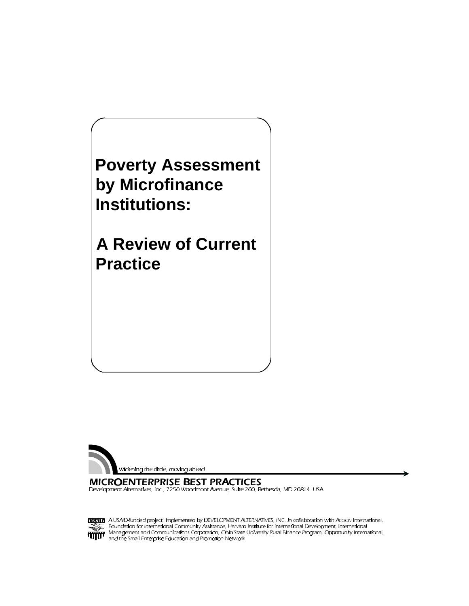**Poverty Assessment by Microfinance Institutions:** 

**A Review of Current Practice**



**MICROENTERPRISE BEST PRACTICES** Development Alternatives, Inc., 7250 Woodmont Avenue, Suite 200, Bethesda, MD 20814 USA

**USAD** A USAID-funded project, implemented by DEVELOPMENT ALTERNATIVES, INC. in collaboration with Accion International,<br>Foundation for international Community Assistance, Harvard Institute for International Development, I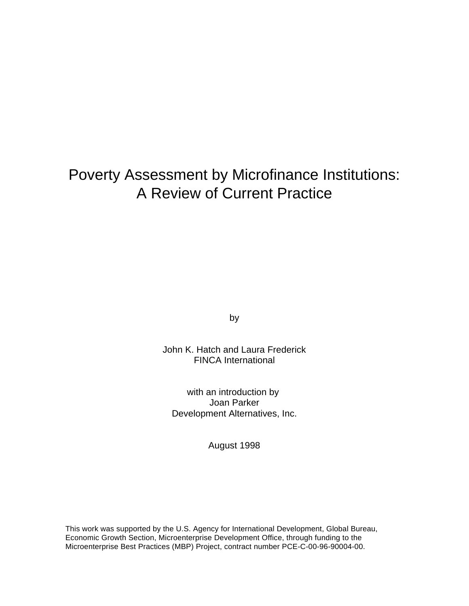## Poverty Assessment by Microfinance Institutions: A Review of Current Practice

by

John K. Hatch and Laura Frederick FINCA International

with an introduction by Joan Parker Development Alternatives, Inc.

August 1998

This work was supported by the U.S. Agency for International Development, Global Bureau, Economic Growth Section, Microenterprise Development Office, through funding to the Microenterprise Best Practices (MBP) Project, contract number PCE-C-00-96-90004-00.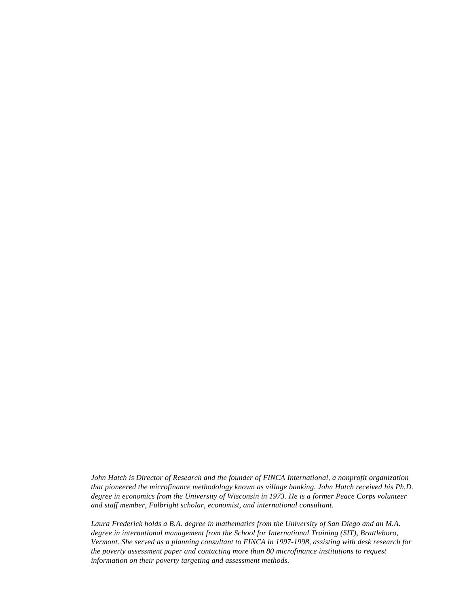*John Hatch is Director of Research and the founder of FINCA International, a nonprofit organization that pioneered the microfinance methodology known as village banking. John Hatch received his Ph.D. degree in economics from the University of Wisconsin in 1973. He is a former Peace Corps volunteer and staff member, Fulbright scholar, economist, and international consultant.*

*Laura Frederick holds a B.A. degree in mathematics from the University of San Diego and an M.A. degree in international management from the School for International Training (SIT), Brattleboro, Vermont. She served as a planning consultant to FINCA in 1997-1998, assisting with desk research for the poverty assessment paper and contacting more than 80 microfinance institutions to request information on their poverty targeting and assessment methods.*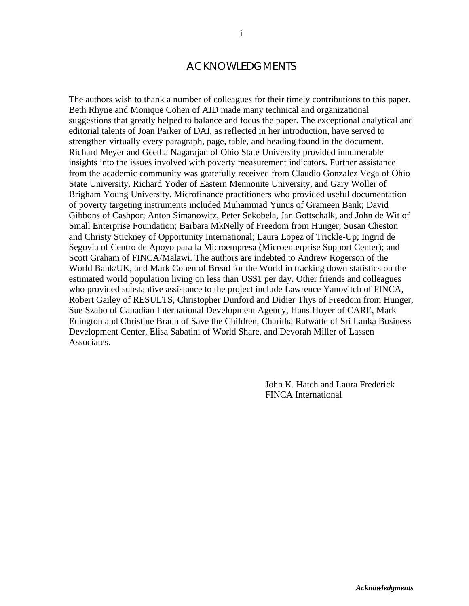#### ACKNOWLEDGMENTS

The authors wish to thank a number of colleagues for their timely contributions to this paper. Beth Rhyne and Monique Cohen of AID made many technical and organizational suggestions that greatly helped to balance and focus the paper. The exceptional analytical and editorial talents of Joan Parker of DAI, as reflected in her introduction, have served to strengthen virtually every paragraph, page, table, and heading found in the document. Richard Meyer and Geetha Nagarajan of Ohio State University provided innumerable insights into the issues involved with poverty measurement indicators. Further assistance from the academic community was gratefully received from Claudio Gonzalez Vega of Ohio State University, Richard Yoder of Eastern Mennonite University, and Gary Woller of Brigham Young University. Microfinance practitioners who provided useful documentation of poverty targeting instruments included Muhammad Yunus of Grameen Bank; David Gibbons of Cashpor; Anton Simanowitz, Peter Sekobela, Jan Gottschalk, and John de Wit of Small Enterprise Foundation; Barbara MkNelly of Freedom from Hunger; Susan Cheston and Christy Stickney of Opportunity International; Laura Lopez of Trickle-Up; Ingrid de Segovia of Centro de Apoyo para la Microempresa (Microenterprise Support Center); and Scott Graham of FINCA/Malawi. The authors are indebted to Andrew Rogerson of the World Bank/UK, and Mark Cohen of Bread for the World in tracking down statistics on the estimated world population living on less than US\$1 per day. Other friends and colleagues who provided substantive assistance to the project include Lawrence Yanovitch of FINCA, Robert Gailey of RESULTS, Christopher Dunford and Didier Thys of Freedom from Hunger, Sue Szabo of Canadian International Development Agency, Hans Hoyer of CARE, Mark Edington and Christine Braun of Save the Children, Charitha Ratwatte of Sri Lanka Business Development Center, Elisa Sabatini of World Share, and Devorah Miller of Lassen Associates.

> John K. Hatch and Laura Frederick FINCA International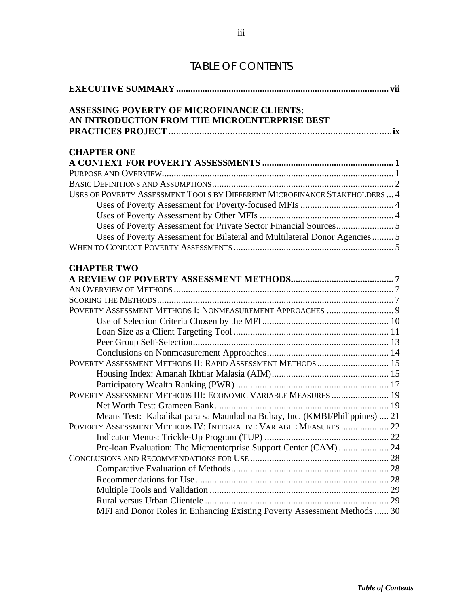| <b>TABLE OF CONTENTS</b> |  |  |  |  |  |  |  |  |  |  |
|--------------------------|--|--|--|--|--|--|--|--|--|--|
|--------------------------|--|--|--|--|--|--|--|--|--|--|

| <b>ASSESSING POVERTY OF MICROFINANCE CLIENTS:</b><br>AN INTRODUCTION FROM THE MICROENTERPRISE BEST |
|----------------------------------------------------------------------------------------------------|
|                                                                                                    |
|                                                                                                    |
| <b>CHAPTER ONE</b>                                                                                 |
|                                                                                                    |
|                                                                                                    |
|                                                                                                    |
| USES OF POVERTY ASSESSMENT TOOLS BY DIFFERENT MICROFINANCE STAKEHOLDERS  4                         |
|                                                                                                    |
|                                                                                                    |
|                                                                                                    |
| Uses of Poverty Assessment for Bilateral and Multilateral Donor Agencies 5                         |
|                                                                                                    |
| <b>CHAPTER TWO</b>                                                                                 |
|                                                                                                    |
|                                                                                                    |
|                                                                                                    |
|                                                                                                    |
|                                                                                                    |
|                                                                                                    |
|                                                                                                    |
|                                                                                                    |
| POVERTY ASSESSMENT METHODS II: RAPID ASSESSMENT METHODS  15                                        |
|                                                                                                    |
|                                                                                                    |
| POVERTY ASSESSMENT METHODS III: ECONOMIC VARIABLE MEASURES  19                                     |
|                                                                                                    |
| Means Test: Kabalikat para sa Maunlad na Buhay, Inc. (KMBI/Philippines)  21                        |
| POVERTY ASSESSMENT METHODS IV: INTEGRATIVE VARIABLE MEASURES  22                                   |
|                                                                                                    |
| Pre-loan Evaluation: The Microenterprise Support Center (CAM)  24                                  |
|                                                                                                    |
|                                                                                                    |
|                                                                                                    |
|                                                                                                    |
|                                                                                                    |
| MFI and Donor Roles in Enhancing Existing Poverty Assessment Methods  30                           |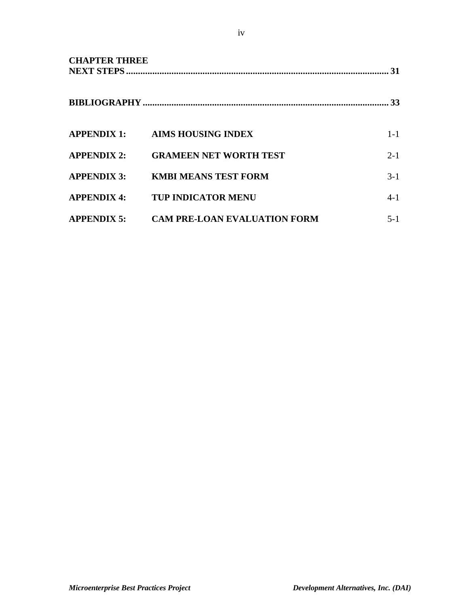| <b>CHAPTER THREE</b> |                                     | 31        |
|----------------------|-------------------------------------|-----------|
|                      |                                     | <b>33</b> |
|                      | APPENDIX 1: AIMS HOUSING INDEX      | $1 - 1$   |
| <b>APPENDIX 2:</b>   | <b>GRAMEEN NET WORTH TEST</b>       | $2 - 1$   |
| <b>APPENDIX 3:</b>   | <b>KMBI MEANS TEST FORM</b>         | $3-1$     |
| <b>APPENDIX 4:</b>   | <b>TUP INDICATOR MENU</b>           | $4 - 1$   |
| <b>APPENDIX 5:</b>   | <b>CAM PRE-LOAN EVALUATION FORM</b> | $5 - 1$   |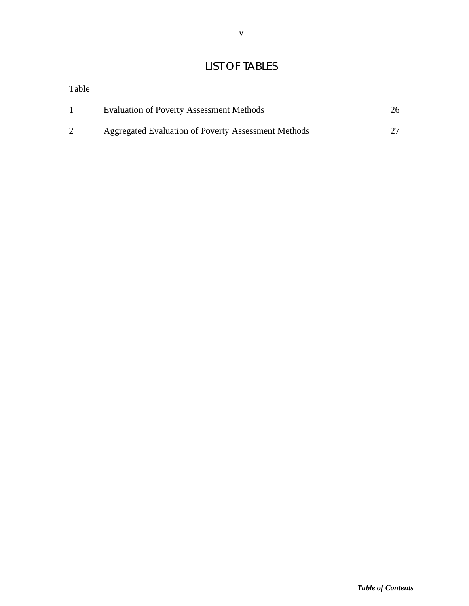## LIST OF TABLES

| <b>Table</b> |                                                     |    |
|--------------|-----------------------------------------------------|----|
|              | <b>Evaluation of Poverty Assessment Methods</b>     | 26 |
|              | Aggregated Evaluation of Poverty Assessment Methods |    |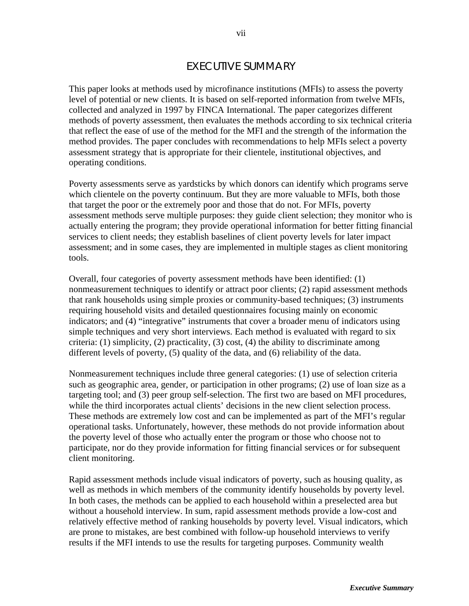### EXECUTIVE SUMMARY

This paper looks at methods used by microfinance institutions (MFIs) to assess the poverty level of potential or new clients. It is based on self-reported information from twelve MFIs, collected and analyzed in 1997 by FINCA International. The paper categorizes different methods of poverty assessment, then evaluates the methods according to six technical criteria that reflect the ease of use of the method for the MFI and the strength of the information the method provides. The paper concludes with recommendations to help MFIs select a poverty assessment strategy that is appropriate for their clientele, institutional objectives, and operating conditions.

Poverty assessments serve as yardsticks by which donors can identify which programs serve which clientele on the poverty continuum. But they are more valuable to MFIs, both those that target the poor or the extremely poor and those that do not. For MFIs, poverty assessment methods serve multiple purposes: they guide client selection; they monitor who is actually entering the program; they provide operational information for better fitting financial services to client needs; they establish baselines of client poverty levels for later impact assessment; and in some cases, they are implemented in multiple stages as client monitoring tools.

Overall, four categories of poverty assessment methods have been identified: (1) nonmeasurement techniques to identify or attract poor clients; (2) rapid assessment methods that rank households using simple proxies or community-based techniques; (3) instruments requiring household visits and detailed questionnaires focusing mainly on economic indicators; and (4) "integrative" instruments that cover a broader menu of indicators using simple techniques and very short interviews. Each method is evaluated with regard to six criteria: (1) simplicity, (2) practicality, (3) cost, (4) the ability to discriminate among different levels of poverty, (5) quality of the data, and (6) reliability of the data.

Nonmeasurement techniques include three general categories: (1) use of selection criteria such as geographic area, gender, or participation in other programs; (2) use of loan size as a targeting tool; and (3) peer group self-selection. The first two are based on MFI procedures, while the third incorporates actual clients' decisions in the new client selection process. These methods are extremely low cost and can be implemented as part of the MFI's regular operational tasks. Unfortunately, however, these methods do not provide information about the poverty level of those who actually enter the program or those who choose not to participate, nor do they provide information for fitting financial services or for subsequent client monitoring.

Rapid assessment methods include visual indicators of poverty, such as housing quality, as well as methods in which members of the community identify households by poverty level. In both cases, the methods can be applied to each household within a preselected area but without a household interview. In sum, rapid assessment methods provide a low-cost and relatively effective method of ranking households by poverty level. Visual indicators, which are prone to mistakes, are best combined with follow-up household interviews to verify results if the MFI intends to use the results for targeting purposes. Community wealth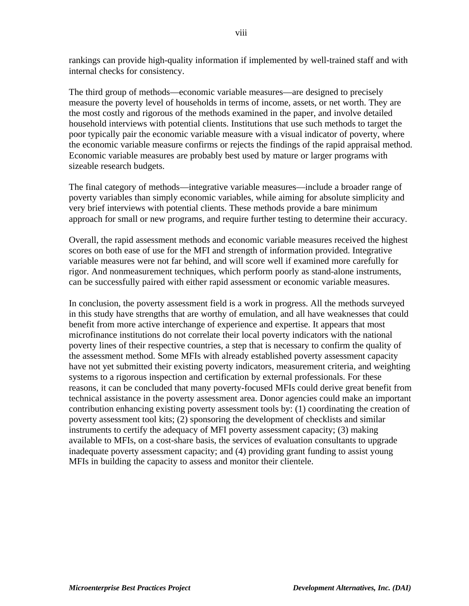rankings can provide high-quality information if implemented by well-trained staff and with internal checks for consistency.

The third group of methods—economic variable measures—are designed to precisely measure the poverty level of households in terms of income, assets, or net worth. They are the most costly and rigorous of the methods examined in the paper, and involve detailed household interviews with potential clients. Institutions that use such methods to target the poor typically pair the economic variable measure with a visual indicator of poverty, where the economic variable measure confirms or rejects the findings of the rapid appraisal method. Economic variable measures are probably best used by mature or larger programs with sizeable research budgets.

The final category of methods—integrative variable measures—include a broader range of poverty variables than simply economic variables, while aiming for absolute simplicity and very brief interviews with potential clients. These methods provide a bare minimum approach for small or new programs, and require further testing to determine their accuracy.

Overall, the rapid assessment methods and economic variable measures received the highest scores on both ease of use for the MFI and strength of information provided. Integrative variable measures were not far behind, and will score well if examined more carefully for rigor. And nonmeasurement techniques, which perform poorly as stand-alone instruments, can be successfully paired with either rapid assessment or economic variable measures.

In conclusion, the poverty assessment field is a work in progress. All the methods surveyed in this study have strengths that are worthy of emulation, and all have weaknesses that could benefit from more active interchange of experience and expertise. It appears that most microfinance institutions do not correlate their local poverty indicators with the national poverty lines of their respective countries, a step that is necessary to confirm the quality of the assessment method. Some MFIs with already established poverty assessment capacity have not yet submitted their existing poverty indicators, measurement criteria, and weighting systems to a rigorous inspection and certification by external professionals. For these reasons, it can be concluded that many poverty-focused MFIs could derive great benefit from technical assistance in the poverty assessment area. Donor agencies could make an important contribution enhancing existing poverty assessment tools by: (1) coordinating the creation of poverty assessment tool kits; (2) sponsoring the development of checklists and similar instruments to certify the adequacy of MFI poverty assessment capacity; (3) making available to MFIs, on a cost-share basis, the services of evaluation consultants to upgrade inadequate poverty assessment capacity; and (4) providing grant funding to assist young MFIs in building the capacity to assess and monitor their clientele.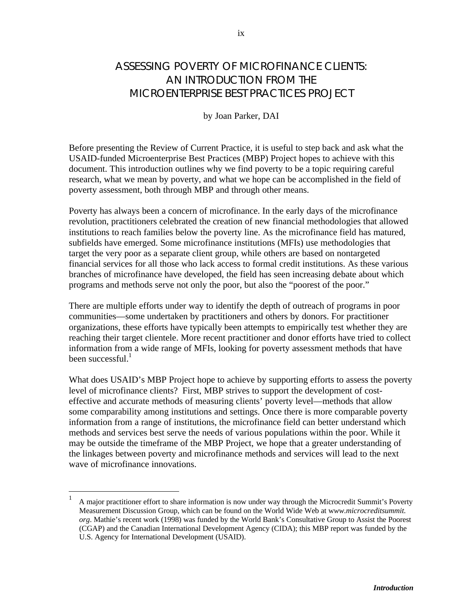by Joan Parker, DAI

Before presenting the Review of Current Practice, it is useful to step back and ask what the USAID-funded Microenterprise Best Practices (MBP) Project hopes to achieve with this document. This introduction outlines why we find poverty to be a topic requiring careful research, what we mean by poverty, and what we hope can be accomplished in the field of poverty assessment, both through MBP and through other means.

Poverty has always been a concern of microfinance. In the early days of the microfinance revolution, practitioners celebrated the creation of new financial methodologies that allowed institutions to reach families below the poverty line. As the microfinance field has matured, subfields have emerged. Some microfinance institutions (MFIs) use methodologies that target the very poor as a separate client group, while others are based on nontargeted financial services for all those who lack access to formal credit institutions. As these various branches of microfinance have developed, the field has seen increasing debate about which programs and methods serve not only the poor, but also the "poorest of the poor."

There are multiple efforts under way to identify the depth of outreach of programs in poor communities—some undertaken by practitioners and others by donors. For practitioner organizations, these efforts have typically been attempts to empirically test whether they are reaching their target clientele. More recent practitioner and donor efforts have tried to collect information from a wide range of MFIs, looking for poverty assessment methods that have been successful. $<sup>1</sup>$ </sup>

What does USAID's MBP Project hope to achieve by supporting efforts to assess the poverty level of microfinance clients? First, MBP strives to support the development of costeffective and accurate methods of measuring clients' poverty level—methods that allow some comparability among institutions and settings. Once there is more comparable poverty information from a range of institutions, the microfinance field can better understand which methods and services best serve the needs of various populations within the poor. While it may be outside the timeframe of the MBP Project, we hope that a greater understanding of the linkages between poverty and microfinance methods and services will lead to the next wave of microfinance innovations.

<u>.</u>

<sup>1</sup> A major practitioner effort to share information is now under way through the Microcredit Summit's Poverty Measurement Discussion Group, which can be found on the World Wide Web at w*ww.microcreditsummit. org*. Mathie's recent work (1998) was funded by the World Bank's Consultative Group to Assist the Poorest (CGAP) and the Canadian International Development Agency (CIDA); this MBP report was funded by the U.S. Agency for International Development (USAID).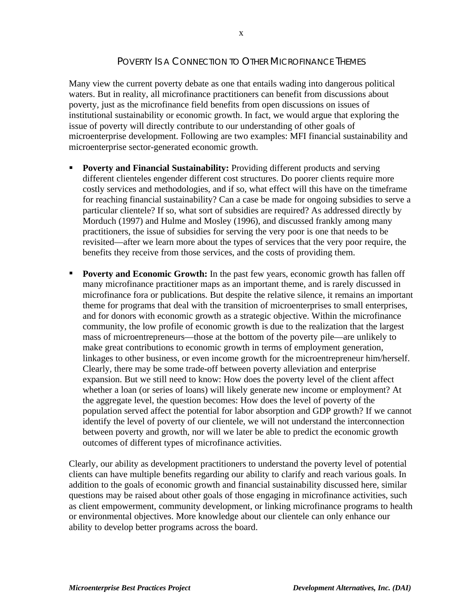#### POVERTY IS A CONNECTION TO OTHER MICROFINANCE THEMES

Many view the current poverty debate as one that entails wading into dangerous political waters. But in reality, all microfinance practitioners can benefit from discussions about poverty, just as the microfinance field benefits from open discussions on issues of institutional sustainability or economic growth. In fact, we would argue that exploring the issue of poverty will directly contribute to our understanding of other goals of microenterprise development. Following are two examples: MFI financial sustainability and microenterprise sector-generated economic growth.

- ß **Poverty and Financial Sustainability:** Providing different products and serving different clienteles engender different cost structures. Do poorer clients require more costly services and methodologies, and if so, what effect will this have on the timeframe for reaching financial sustainability? Can a case be made for ongoing subsidies to serve a particular clientele? If so, what sort of subsidies are required? As addressed directly by Morduch (1997) and Hulme and Mosley (1996), and discussed frankly among many practitioners, the issue of subsidies for serving the very poor is one that needs to be revisited—after we learn more about the types of services that the very poor require, the benefits they receive from those services, and the costs of providing them.
- **Poverty and Economic Growth:** In the past few years, economic growth has fallen off many microfinance practitioner maps as an important theme, and is rarely discussed in microfinance fora or publications. But despite the relative silence, it remains an important theme for programs that deal with the transition of microenterprises to small enterprises, and for donors with economic growth as a strategic objective. Within the microfinance community, the low profile of economic growth is due to the realization that the largest mass of microentrepreneurs—those at the bottom of the poverty pile—are unlikely to make great contributions to economic growth in terms of employment generation, linkages to other business, or even income growth for the microentrepreneur him/herself. Clearly, there may be some trade-off between poverty alleviation and enterprise expansion. But we still need to know: How does the poverty level of the client affect whether a loan (or series of loans) will likely generate new income or employment? At the aggregate level, the question becomes: How does the level of poverty of the population served affect the potential for labor absorption and GDP growth? If we cannot identify the level of poverty of our clientele, we will not understand the interconnection between poverty and growth, nor will we later be able to predict the economic growth outcomes of different types of microfinance activities.

Clearly, our ability as development practitioners to understand the poverty level of potential clients can have multiple benefits regarding our ability to clarify and reach various goals. In addition to the goals of economic growth and financial sustainability discussed here, similar questions may be raised about other goals of those engaging in microfinance activities, such as client empowerment, community development, or linking microfinance programs to health or environmental objectives. More knowledge about our clientele can only enhance our ability to develop better programs across the board.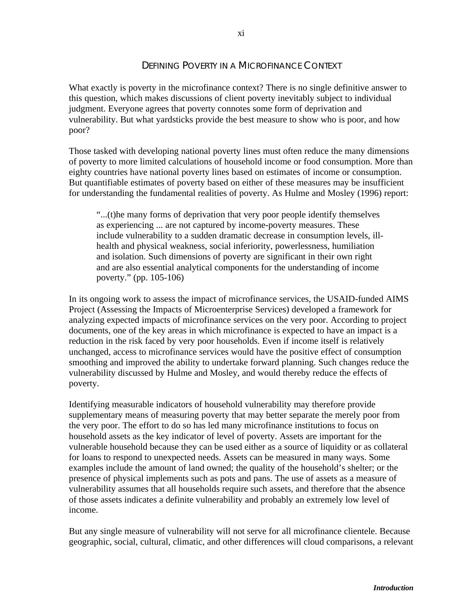#### DEFINING POVERTY IN A MICROFINANCE CONTEXT

What exactly is poverty in the microfinance context? There is no single definitive answer to this question, which makes discussions of client poverty inevitably subject to individual judgment. Everyone agrees that poverty connotes some form of deprivation and vulnerability. But what yardsticks provide the best measure to show who is poor, and how poor?

Those tasked with developing national poverty lines must often reduce the many dimensions of poverty to more limited calculations of household income or food consumption. More than eighty countries have national poverty lines based on estimates of income or consumption. But quantifiable estimates of poverty based on either of these measures may be insufficient for understanding the fundamental realities of poverty. As Hulme and Mosley (1996) report:

"...(t)he many forms of deprivation that very poor people identify themselves as experiencing ... are not captured by income-poverty measures. These include vulnerability to a sudden dramatic decrease in consumption levels, illhealth and physical weakness, social inferiority, powerlessness, humiliation and isolation. Such dimensions of poverty are significant in their own right and are also essential analytical components for the understanding of income poverty." (pp. 105-106)

In its ongoing work to assess the impact of microfinance services, the USAID-funded AIMS Project (Assessing the Impacts of Microenterprise Services) developed a framework for analyzing expected impacts of microfinance services on the very poor. According to project documents, one of the key areas in which microfinance is expected to have an impact is a reduction in the risk faced by very poor households. Even if income itself is relatively unchanged, access to microfinance services would have the positive effect of consumption smoothing and improved the ability to undertake forward planning. Such changes reduce the vulnerability discussed by Hulme and Mosley, and would thereby reduce the effects of poverty.

Identifying measurable indicators of household vulnerability may therefore provide supplementary means of measuring poverty that may better separate the merely poor from the very poor. The effort to do so has led many microfinance institutions to focus on household assets as the key indicator of level of poverty. Assets are important for the vulnerable household because they can be used either as a source of liquidity or as collateral for loans to respond to unexpected needs. Assets can be measured in many ways. Some examples include the amount of land owned; the quality of the household's shelter; or the presence of physical implements such as pots and pans. The use of assets as a measure of vulnerability assumes that all households require such assets, and therefore that the absence of those assets indicates a definite vulnerability and probably an extremely low level of income.

But any single measure of vulnerability will not serve for all microfinance clientele. Because geographic, social, cultural, climatic, and other differences will cloud comparisons, a relevant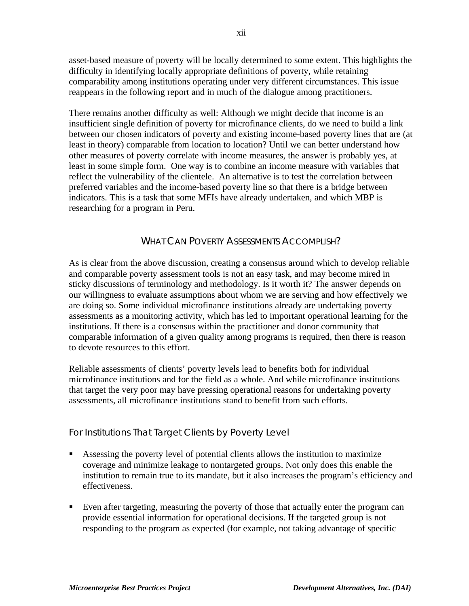asset-based measure of poverty will be locally determined to some extent. This highlights the difficulty in identifying locally appropriate definitions of poverty, while retaining comparability among institutions operating under very different circumstances. This issue reappears in the following report and in much of the dialogue among practitioners.

There remains another difficulty as well: Although we might decide that income is an insufficient single definition of poverty for microfinance clients, do we need to build a link between our chosen indicators of poverty and existing income-based poverty lines that are (at least in theory) comparable from location to location? Until we can better understand how other measures of poverty correlate with income measures, the answer is probably yes, at least in some simple form. One way is to combine an income measure with variables that reflect the vulnerability of the clientele. An alternative is to test the correlation between preferred variables and the income-based poverty line so that there is a bridge between indicators. This is a task that some MFIs have already undertaken, and which MBP is researching for a program in Peru.

#### WHAT CAN POVERTY ASSESSMENTS ACCOMPLISH?

As is clear from the above discussion, creating a consensus around which to develop reliable and comparable poverty assessment tools is not an easy task, and may become mired in sticky discussions of terminology and methodology. Is it worth it? The answer depends on our willingness to evaluate assumptions about whom we are serving and how effectively we are doing so. Some individual microfinance institutions already are undertaking poverty assessments as a monitoring activity, which has led to important operational learning for the institutions. If there is a consensus within the practitioner and donor community that comparable information of a given quality among programs is required, then there is reason to devote resources to this effort.

Reliable assessments of clients' poverty levels lead to benefits both for individual microfinance institutions and for the field as a whole. And while microfinance institutions that target the very poor may have pressing operational reasons for undertaking poverty assessments, all microfinance institutions stand to benefit from such efforts.

#### For Institutions That Target Clients by Poverty Level

- Assessing the poverty level of potential clients allows the institution to maximize coverage and minimize leakage to nontargeted groups. Not only does this enable the institution to remain true to its mandate, but it also increases the program's efficiency and effectiveness.
- Even after targeting, measuring the poverty of those that actually enter the program can provide essential information for operational decisions. If the targeted group is not responding to the program as expected (for example, not taking advantage of specific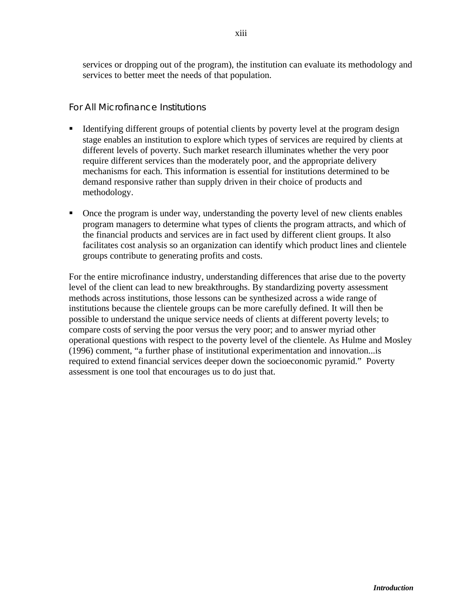services or dropping out of the program), the institution can evaluate its methodology and services to better meet the needs of that population.

#### For All Microfinance Institutions

- ß Identifying different groups of potential clients by poverty level at the program design stage enables an institution to explore which types of services are required by clients at different levels of poverty. Such market research illuminates whether the very poor require different services than the moderately poor, and the appropriate delivery mechanisms for each. This information is essential for institutions determined to be demand responsive rather than supply driven in their choice of products and methodology.
- ß Once the program is under way, understanding the poverty level of new clients enables program managers to determine what types of clients the program attracts, and which of the financial products and services are in fact used by different client groups. It also facilitates cost analysis so an organization can identify which product lines and clientele groups contribute to generating profits and costs.

For the entire microfinance industry, understanding differences that arise due to the poverty level of the client can lead to new breakthroughs. By standardizing poverty assessment methods across institutions, those lessons can be synthesized across a wide range of institutions because the clientele groups can be more carefully defined. It will then be possible to understand the unique service needs of clients at different poverty levels; to compare costs of serving the poor versus the very poor; and to answer myriad other operational questions with respect to the poverty level of the clientele. As Hulme and Mosley (1996) comment, "a further phase of institutional experimentation and innovation...is required to extend financial services deeper down the socioeconomic pyramid." Poverty assessment is one tool that encourages us to do just that.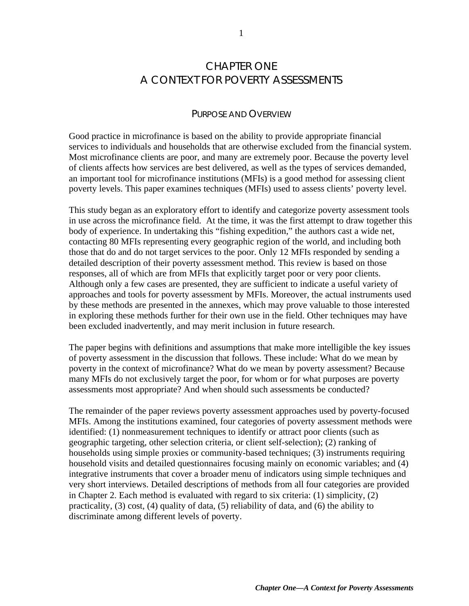## CHAPTER ONE A CONTEXT FOR POVERTY ASSESSMENTS

#### PURPOSE AND OVERVIEW

Good practice in microfinance is based on the ability to provide appropriate financial services to individuals and households that are otherwise excluded from the financial system. Most microfinance clients are poor, and many are extremely poor. Because the poverty level of clients affects how services are best delivered, as well as the types of services demanded, an important tool for microfinance institutions (MFIs) is a good method for assessing client poverty levels. This paper examines techniques (MFIs) used to assess clients' poverty level.

This study began as an exploratory effort to identify and categorize poverty assessment tools in use across the microfinance field. At the time, it was the first attempt to draw together this body of experience. In undertaking this "fishing expedition," the authors cast a wide net, contacting 80 MFIs representing every geographic region of the world, and including both those that do and do not target services to the poor. Only 12 MFIs responded by sending a detailed description of their poverty assessment method. This review is based on those responses, all of which are from MFIs that explicitly target poor or very poor clients. Although only a few cases are presented, they are sufficient to indicate a useful variety of approaches and tools for poverty assessment by MFIs. Moreover, the actual instruments used by these methods are presented in the annexes, which may prove valuable to those interested in exploring these methods further for their own use in the field. Other techniques may have been excluded inadvertently, and may merit inclusion in future research.

The paper begins with definitions and assumptions that make more intelligible the key issues of poverty assessment in the discussion that follows. These include: What do we mean by poverty in the context of microfinance? What do we mean by poverty assessment? Because many MFIs do not exclusively target the poor, for whom or for what purposes are poverty assessments most appropriate? And when should such assessments be conducted?

The remainder of the paper reviews poverty assessment approaches used by poverty-focused MFIs. Among the institutions examined, four categories of poverty assessment methods were identified: (1) nonmeasurement techniques to identify or attract poor clients (such as geographic targeting, other selection criteria, or client self-selection); (2) ranking of households using simple proxies or community-based techniques; (3) instruments requiring household visits and detailed questionnaires focusing mainly on economic variables; and (4) integrative instruments that cover a broader menu of indicators using simple techniques and very short interviews. Detailed descriptions of methods from all four categories are provided in Chapter 2. Each method is evaluated with regard to six criteria: (1) simplicity, (2) practicality, (3) cost, (4) quality of data, (5) reliability of data, and (6) the ability to discriminate among different levels of poverty.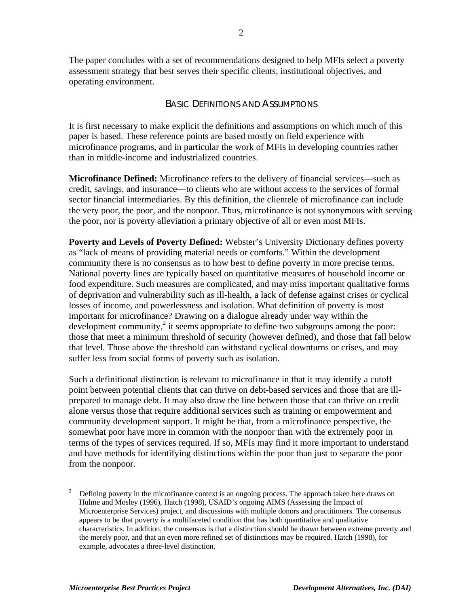The paper concludes with a set of recommendations designed to help MFIs select a poverty assessment strategy that best serves their specific clients, institutional objectives, and operating environment.

#### BASIC DEFINITIONS AND ASSUMPTIONS

It is first necessary to make explicit the definitions and assumptions on which much of this paper is based. These reference points are based mostly on field experience with microfinance programs, and in particular the work of MFIs in developing countries rather than in middle-income and industrialized countries.

**Microfinance Defined:** Microfinance refers to the delivery of financial services—such as credit, savings, and insurance—to clients who are without access to the services of formal sector financial intermediaries. By this definition, the clientele of microfinance can include the very poor, the poor, and the nonpoor. Thus, microfinance is not synonymous with serving the poor, nor is poverty alleviation a primary objective of all or even most MFIs.

**Poverty and Levels of Poverty Defined:** Webster's University Dictionary defines poverty as "lack of means of providing material needs or comforts." Within the development community there is no consensus as to how best to define poverty in more precise terms. National poverty lines are typically based on quantitative measures of household income or food expenditure. Such measures are complicated, and may miss important qualitative forms of deprivation and vulnerability such as ill-health, a lack of defense against crises or cyclical losses of income, and powerlessness and isolation. What definition of poverty is most important for microfinance? Drawing on a dialogue already under way within the development community, $2$  it seems appropriate to define two subgroups among the poor: those that meet a minimum threshold of security (however defined), and those that fall below that level. Those above the threshold can withstand cyclical downturns or crises, and may suffer less from social forms of poverty such as isolation.

Such a definitional distinction is relevant to microfinance in that it may identify a cutoff point between potential clients that can thrive on debt-based services and those that are illprepared to manage debt. It may also draw the line between those that can thrive on credit alone versus those that require additional services such as training or empowerment and community development support. It might be that, from a microfinance perspective, the somewhat poor have more in common with the nonpoor than with the extremely poor in terms of the types of services required. If so, MFIs may find it more important to understand and have methods for identifying distinctions within the poor than just to separate the poor from the nonpoor.

 $\frac{1}{2}$  Defining poverty in the microfinance context is an ongoing process. The approach taken here draws on Hulme and Mosley (1996), Hatch (1998), USAID's ongoing AIMS (Assessing the Impact of Microenterprise Services) project, and discussions with multiple donors and practitioners. The consensus appears to be that poverty is a multifaceted condition that has both quantitative and qualitative characteristics. In addition, the consensus is that a distinction should be drawn between extreme poverty and the merely poor, and that an even more refined set of distinctions may be required. Hatch (1998), for example, advocates a three-level distinction.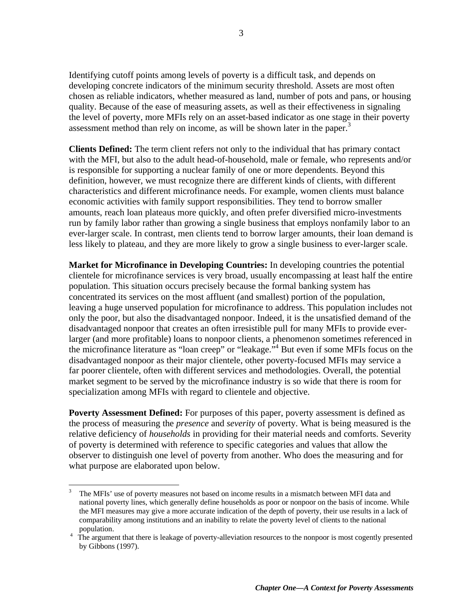Identifying cutoff points among levels of poverty is a difficult task, and depends on developing concrete indicators of the minimum security threshold. Assets are most often chosen as reliable indicators, whether measured as land, number of pots and pans, or housing quality. Because of the ease of measuring assets, as well as their effectiveness in signaling the level of poverty, more MFIs rely on an asset-based indicator as one stage in their poverty assessment method than rely on income, as will be shown later in the paper.<sup>3</sup>

**Clients Defined:** The term client refers not only to the individual that has primary contact with the MFI, but also to the adult head-of-household, male or female, who represents and/or is responsible for supporting a nuclear family of one or more dependents. Beyond this definition, however, we must recognize there are different kinds of clients, with different characteristics and different microfinance needs. For example, women clients must balance economic activities with family support responsibilities. They tend to borrow smaller amounts, reach loan plateaus more quickly, and often prefer diversified micro-investments run by family labor rather than growing a single business that employs nonfamily labor to an ever-larger scale. In contrast, men clients tend to borrow larger amounts, their loan demand is less likely to plateau, and they are more likely to grow a single business to ever-larger scale.

**Market for Microfinance in Developing Countries:** In developing countries the potential clientele for microfinance services is very broad, usually encompassing at least half the entire population. This situation occurs precisely because the formal banking system has concentrated its services on the most affluent (and smallest) portion of the population, leaving a huge unserved population for microfinance to address. This population includes not only the poor, but also the disadvantaged nonpoor. Indeed, it is the unsatisfied demand of the disadvantaged nonpoor that creates an often irresistible pull for many MFIs to provide everlarger (and more profitable) loans to nonpoor clients, a phenomenon sometimes referenced in the microfinance literature as "loan creep" or "leakage.<sup>54</sup> But even if some MFIs focus on the disadvantaged nonpoor as their major clientele, other poverty-focused MFIs may service a far poorer clientele, often with different services and methodologies. Overall, the potential market segment to be served by the microfinance industry is so wide that there is room for specialization among MFIs with regard to clientele and objective.

**Poverty Assessment Defined:** For purposes of this paper, poverty assessment is defined as the process of measuring the *presence* and *severity* of poverty. What is being measured is the relative deficiency of *households* in providing for their material needs and comforts. Severity of poverty is determined with reference to specific categories and values that allow the observer to distinguish one level of poverty from another. Who does the measuring and for what purpose are elaborated upon below.

 $\frac{1}{3}$  The MFIs' use of poverty measures not based on income results in a mismatch between MFI data and national poverty lines, which generally define households as poor or nonpoor on the basis of income. While the MFI measures may give a more accurate indication of the depth of poverty, their use results in a lack of comparability among institutions and an inability to relate the poverty level of clients to the national population.

<sup>&</sup>lt;sup>4</sup> The argument that there is leakage of poverty-alleviation resources to the nonpoor is most cogently presented by Gibbons (1997).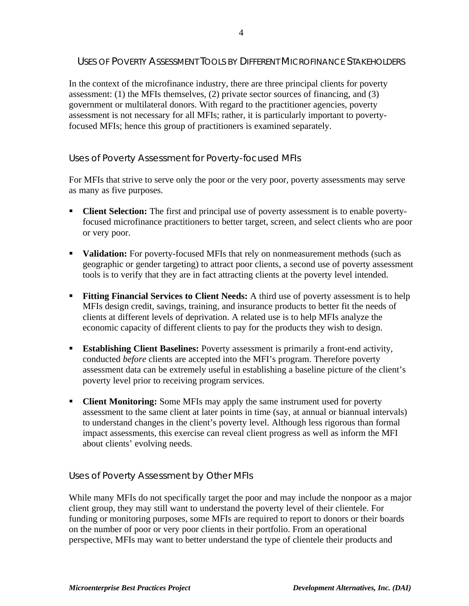#### USES OF POVERTY ASSESSMENT TOOLS BY DIFFERENT MICROFINANCE STAKEHOLDERS

In the context of the microfinance industry, there are three principal clients for poverty assessment: (1) the MFIs themselves, (2) private sector sources of financing, and (3) government or multilateral donors. With regard to the practitioner agencies, poverty assessment is not necessary for all MFIs; rather, it is particularly important to povertyfocused MFIs; hence this group of practitioners is examined separately.

#### Uses of Poverty Assessment for Poverty-focused MFIs

For MFIs that strive to serve only the poor or the very poor, poverty assessments may serve as many as five purposes.

- **Client Selection:** The first and principal use of poverty assessment is to enable povertyfocused microfinance practitioners to better target, screen, and select clients who are poor or very poor.
- **Validation:** For poverty-focused MFIs that rely on nonmeasurement methods (such as geographic or gender targeting) to attract poor clients, a second use of poverty assessment tools is to verify that they are in fact attracting clients at the poverty level intended.
- **Fitting Financial Services to Client Needs:** A third use of poverty assessment is to help MFIs design credit, savings, training, and insurance products to better fit the needs of clients at different levels of deprivation. A related use is to help MFIs analyze the economic capacity of different clients to pay for the products they wish to design.
- **Establishing Client Baselines:** Poverty assessment is primarily a front-end activity, conducted *before* clients are accepted into the MFI's program. Therefore poverty assessment data can be extremely useful in establishing a baseline picture of the client's poverty level prior to receiving program services.
- ß **Client Monitoring:** Some MFIs may apply the same instrument used for poverty assessment to the same client at later points in time (say, at annual or biannual intervals) to understand changes in the client's poverty level. Although less rigorous than formal impact assessments, this exercise can reveal client progress as well as inform the MFI about clients' evolving needs.

#### Uses of Poverty Assessment by Other MFIs

While many MFIs do not specifically target the poor and may include the nonpoor as a major client group, they may still want to understand the poverty level of their clientele. For funding or monitoring purposes, some MFIs are required to report to donors or their boards on the number of poor or very poor clients in their portfolio. From an operational perspective, MFIs may want to better understand the type of clientele their products and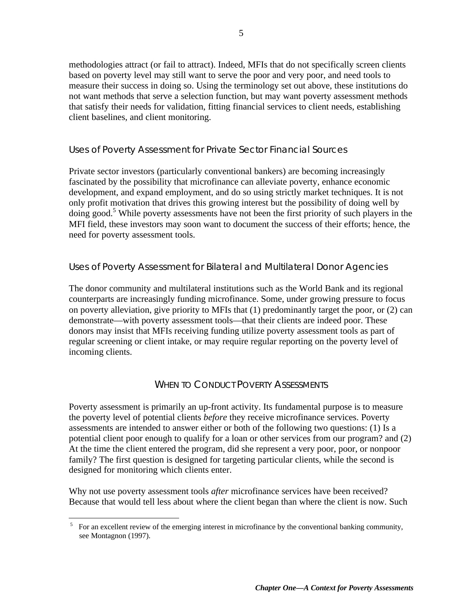methodologies attract (or fail to attract). Indeed, MFIs that do not specifically screen clients based on poverty level may still want to serve the poor and very poor, and need tools to measure their success in doing so. Using the terminology set out above, these institutions do not want methods that serve a selection function, but may want poverty assessment methods that satisfy their needs for validation, fitting financial services to client needs, establishing client baselines, and client monitoring.

#### Uses of Poverty Assessment for Private Sector Financial Sources

Private sector investors (particularly conventional bankers) are becoming increasingly fascinated by the possibility that microfinance can alleviate poverty, enhance economic development, and expand employment, and do so using strictly market techniques. It is not only profit motivation that drives this growing interest but the possibility of doing well by doing good.<sup>5</sup> While poverty assessments have not been the first priority of such players in the MFI field, these investors may soon want to document the success of their efforts; hence, the need for poverty assessment tools.

#### Uses of Poverty Assessment for Bilateral and Multilateral Donor Agencies

The donor community and multilateral institutions such as the World Bank and its regional counterparts are increasingly funding microfinance. Some, under growing pressure to focus on poverty alleviation, give priority to MFIs that (1) predominantly target the poor, or (2) can demonstrate—with poverty assessment tools—that their clients are indeed poor. These donors may insist that MFIs receiving funding utilize poverty assessment tools as part of regular screening or client intake, or may require regular reporting on the poverty level of incoming clients.

#### WHEN TO CONDUCT POVERTY ASSESSMENTS

Poverty assessment is primarily an up-front activity. Its fundamental purpose is to measure the poverty level of potential clients *before* they receive microfinance services. Poverty assessments are intended to answer either or both of the following two questions: (1) Is a potential client poor enough to qualify for a loan or other services from our program? and (2) At the time the client entered the program, did she represent a very poor, poor, or nonpoor family? The first question is designed for targeting particular clients, while the second is designed for monitoring which clients enter.

Why not use poverty assessment tools *after* microfinance services have been received? Because that would tell less about where the client began than where the client is now. Such

<u>.</u>

<sup>&</sup>lt;sup>5</sup> For an excellent review of the emerging interest in microfinance by the conventional banking community, see Montagnon (1997).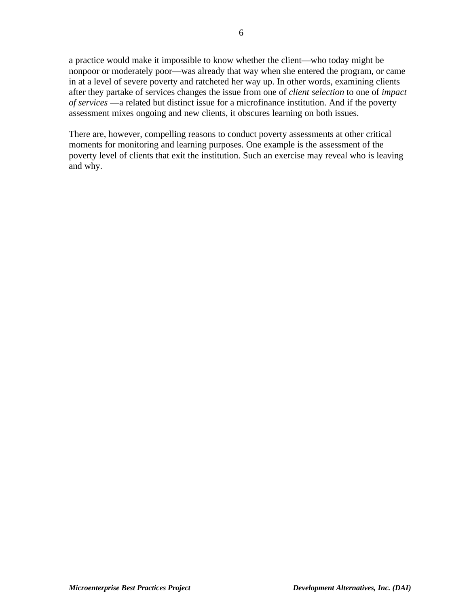a practice would make it impossible to know whether the client—who today might be nonpoor or moderately poor—was already that way when she entered the program, or came in at a level of severe poverty and ratcheted her way up. In other words, examining clients after they partake of services changes the issue from one of *client selection* to one of *impact of services* —a related but distinct issue for a microfinance institution. And if the poverty assessment mixes ongoing and new clients, it obscures learning on both issues.

There are, however, compelling reasons to conduct poverty assessments at other critical moments for monitoring and learning purposes. One example is the assessment of the poverty level of clients that exit the institution. Such an exercise may reveal who is leaving and why.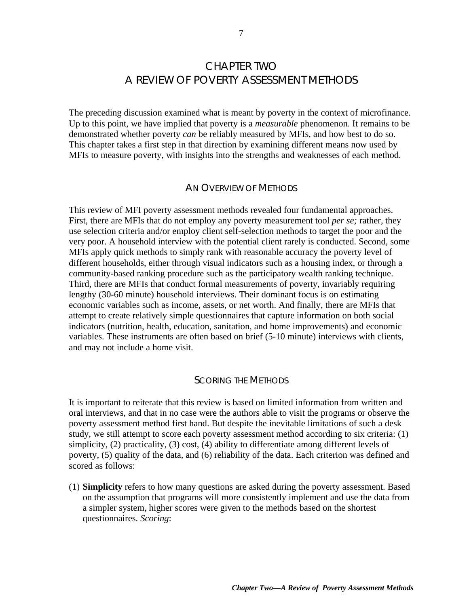## CHAPTER TWO A REVIEW OF POVERTY ASSESSMENT METHODS

The preceding discussion examined what is meant by poverty in the context of microfinance. Up to this point, we have implied that poverty is a *measurable* phenomenon. It remains to be demonstrated whether poverty *can* be reliably measured by MFIs, and how best to do so. This chapter takes a first step in that direction by examining different means now used by MFIs to measure poverty, with insights into the strengths and weaknesses of each method.

#### AN OVERVIEW OF METHODS

This review of MFI poverty assessment methods revealed four fundamental approaches. First, there are MFIs that do not employ any poverty measurement tool *per se;* rather, they use selection criteria and/or employ client self-selection methods to target the poor and the very poor. A household interview with the potential client rarely is conducted. Second, some MFIs apply quick methods to simply rank with reasonable accuracy the poverty level of different households, either through visual indicators such as a housing index, or through a community-based ranking procedure such as the participatory wealth ranking technique. Third, there are MFIs that conduct formal measurements of poverty, invariably requiring lengthy (30-60 minute) household interviews. Their dominant focus is on estimating economic variables such as income, assets, or net worth. And finally, there are MFIs that attempt to create relatively simple questionnaires that capture information on both social indicators (nutrition, health, education, sanitation, and home improvements) and economic variables. These instruments are often based on brief (5-10 minute) interviews with clients, and may not include a home visit.

#### SCORING THE METHODS

It is important to reiterate that this review is based on limited information from written and oral interviews, and that in no case were the authors able to visit the programs or observe the poverty assessment method first hand. But despite the inevitable limitations of such a desk study, we still attempt to score each poverty assessment method according to six criteria: (1) simplicity, (2) practicality, (3) cost, (4) ability to differentiate among different levels of poverty, (5) quality of the data, and (6) reliability of the data. Each criterion was defined and scored as follows:

(1) **Simplicity** refers to how many questions are asked during the poverty assessment. Based on the assumption that programs will more consistently implement and use the data from a simpler system, higher scores were given to the methods based on the shortest questionnaires. *Scoring*: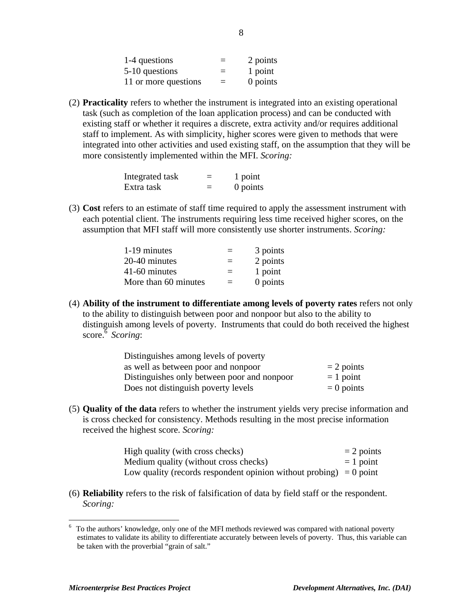| 1-4 questions        | $\equiv$ | 2 points |
|----------------------|----------|----------|
| 5-10 questions       | $=$      | 1 point  |
| 11 or more questions | $=$      | 0 points |

(2) **Practicality** refers to whether the instrument is integrated into an existing operational task (such as completion of the loan application process) and can be conducted with existing staff or whether it requires a discrete, extra activity and/or requires additional staff to implement. As with simplicity, higher scores were given to methods that were integrated into other activities and used existing staff, on the assumption that they will be more consistently implemented within the MFI. *Scoring:*

| Integrated task | 1 point  |
|-----------------|----------|
| Extra task      | 0 points |

(3) **Cost** refers to an estimate of staff time required to apply the assessment instrument with each potential client. The instruments requiring less time received higher scores, on the assumption that MFI staff will more consistently use shorter instruments. *Scoring:*

| 1-19 minutes         | $=$ | 3 points |
|----------------------|-----|----------|
| 20-40 minutes        | $=$ | 2 points |
| 41-60 minutes        | $=$ | 1 point  |
| More than 60 minutes | $=$ | 0 points |

(4) **Ability of the instrument to differentiate among levels of poverty rates** refers not only to the ability to distinguish between poor and nonpoor but also to the ability to distinguish among levels of poverty. Instruments that could do both received the highest score.<sup>6</sup> Scoring:

| Distinguishes among levels of poverty       |              |
|---------------------------------------------|--------------|
| as well as between poor and nonpoor         | $= 2$ points |
| Distinguishes only between poor and nonpoor | $= 1$ point  |
| Does not distinguish poverty levels         | $= 0$ points |

(5) **Quality of the data** refers to whether the instrument yields very precise information and is cross checked for consistency. Methods resulting in the most precise information received the highest score. *Scoring:*

| High quality (with cross checks)                                     | $= 2$ points |
|----------------------------------------------------------------------|--------------|
| Medium quality (without cross checks)                                | $= 1$ point  |
| Low quality (records respondent opinion without probing) $= 0$ point |              |

(6) **Reliability** refers to the risk of falsification of data by field staff or the respondent. *Scoring:*

 $\overline{a}$ 

 $6$  To the authors' knowledge, only one of the MFI methods reviewed was compared with national poverty estimates to validate its ability to differentiate accurately between levels of poverty. Thus, this variable can be taken with the proverbial "grain of salt."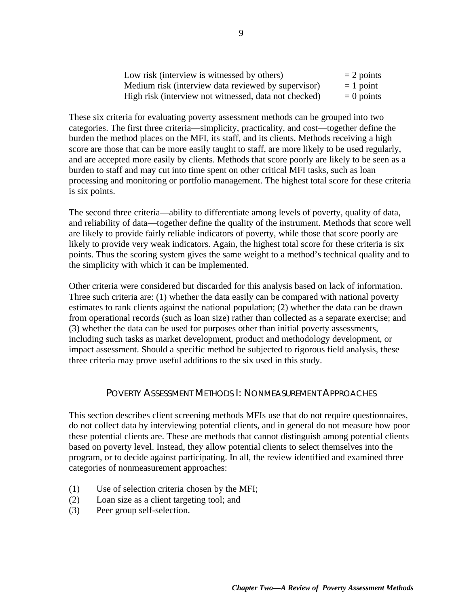| Low risk (interview is witnessed by others)           | $= 2$ points |
|-------------------------------------------------------|--------------|
| Medium risk (interview data reviewed by supervisor)   | $= 1$ point  |
| High risk (interview not witnessed, data not checked) | $= 0$ points |

These six criteria for evaluating poverty assessment methods can be grouped into two categories. The first three criteria—simplicity, practicality, and cost—together define the burden the method places on the MFI, its staff, and its clients. Methods receiving a high score are those that can be more easily taught to staff, are more likely to be used regularly, and are accepted more easily by clients. Methods that score poorly are likely to be seen as a burden to staff and may cut into time spent on other critical MFI tasks, such as loan processing and monitoring or portfolio management. The highest total score for these criteria is six points.

The second three criteria—ability to differentiate among levels of poverty, quality of data, and reliability of data—together define the quality of the instrument. Methods that score well are likely to provide fairly reliable indicators of poverty, while those that score poorly are likely to provide very weak indicators. Again, the highest total score for these criteria is six points. Thus the scoring system gives the same weight to a method's technical quality and to the simplicity with which it can be implemented.

Other criteria were considered but discarded for this analysis based on lack of information. Three such criteria are: (1) whether the data easily can be compared with national poverty estimates to rank clients against the national population; (2) whether the data can be drawn from operational records (such as loan size) rather than collected as a separate exercise; and (3) whether the data can be used for purposes other than initial poverty assessments, including such tasks as market development, product and methodology development, or impact assessment. Should a specific method be subjected to rigorous field analysis, these three criteria may prove useful additions to the six used in this study.

#### POVERTY ASSESSMENT METHODS I: NONMEASUREMENT APPROACHES

This section describes client screening methods MFIs use that do not require questionnaires, do not collect data by interviewing potential clients, and in general do not measure how poor these potential clients are. These are methods that cannot distinguish among potential clients based on poverty level. Instead, they allow potential clients to select themselves into the program, or to decide against participating. In all, the review identified and examined three categories of nonmeasurement approaches:

- (1) Use of selection criteria chosen by the MFI;
- (2) Loan size as a client targeting tool; and
- (3) Peer group self-selection.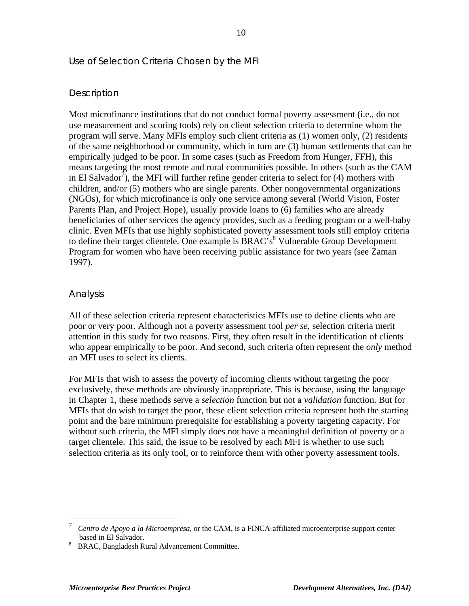#### Use of Selection Criteria Chosen by the MFI

#### *Description*

Most microfinance institutions that do not conduct formal poverty assessment (i.e., do not use measurement and scoring tools) rely on client selection criteria to determine whom the program will serve. Many MFIs employ such client criteria as (1) women only, (2) residents of the same neighborhood or community, which in turn are (3) human settlements that can be empirically judged to be poor. In some cases (such as Freedom from Hunger, FFH), this means targeting the most remote and rural communities possible. In others (such as the CAM in El Salvador<sup>7</sup>), the MFI will further refine gender criteria to select for (4) mothers with children, and/or (5) mothers who are single parents. Other nongovernmental organizations (NGOs), for which microfinance is only one service among several (World Vision, Foster Parents Plan, and Project Hope), usually provide loans to (6) families who are already beneficiaries of other services the agency provides, such as a feeding program or a well-baby clinic. Even MFIs that use highly sophisticated poverty assessment tools still employ criteria to define their target clientele. One example is BRAC's<sup>8</sup> Vulnerable Group Development Program for women who have been receiving public assistance for two years (see Zaman 1997).

#### *Analysis*

 $\overline{a}$ 

All of these selection criteria represent characteristics MFIs use to define clients who are poor or very poor. Although not a poverty assessment tool *per se*, selection criteria merit attention in this study for two reasons. First, they often result in the identification of clients who appear empirically to be poor. And second, such criteria often represent the *only* method an MFI uses to select its clients.

For MFIs that wish to assess the poverty of incoming clients without targeting the poor exclusively, these methods are obviously inappropriate. This is because, using the language in Chapter 1, these methods serve a *selection* function but not a *validation* function. But for MFIs that do wish to target the poor, these client selection criteria represent both the starting point and the bare minimum prerequisite for establishing a poverty targeting capacity. For without such criteria, the MFI simply does not have a meaningful definition of poverty or a target clientele. This said, the issue to be resolved by each MFI is whether to use such selection criteria as its only tool, or to reinforce them with other poverty assessment tools.

<sup>7</sup>  *Centro de Apoyo a la Microempresa*, or the CAM, is a FINCA-affiliated microenterprise support center based in El Salvador.

<sup>8</sup>BRAC, Bangladesh Rural Advancement Committee.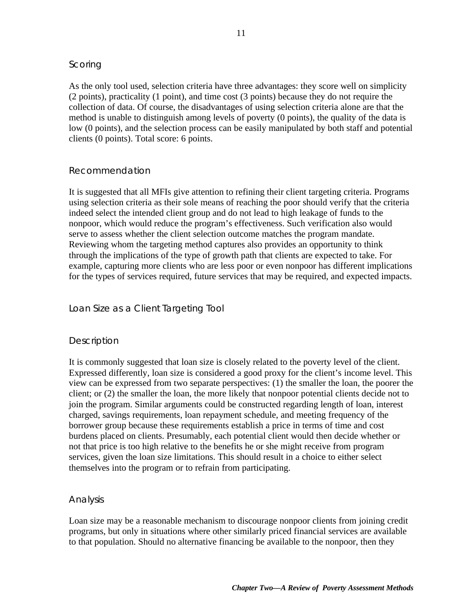#### *Scoring*

As the only tool used, selection criteria have three advantages: they score well on simplicity (2 points), practicality (1 point), and time cost (3 points) because they do not require the collection of data. Of course, the disadvantages of using selection criteria alone are that the method is unable to distinguish among levels of poverty (0 points), the quality of the data is low (0 points), and the selection process can be easily manipulated by both staff and potential clients (0 points). Total score: 6 points.

#### *Recommendation*

It is suggested that all MFIs give attention to refining their client targeting criteria. Programs using selection criteria as their sole means of reaching the poor should verify that the criteria indeed select the intended client group and do not lead to high leakage of funds to the nonpoor, which would reduce the program's effectiveness. Such verification also would serve to assess whether the client selection outcome matches the program mandate. Reviewing whom the targeting method captures also provides an opportunity to think through the implications of the type of growth path that clients are expected to take. For example, capturing more clients who are less poor or even nonpoor has different implications for the types of services required, future services that may be required, and expected impacts.

#### Loan Size as a Client Targeting Tool

#### *Description*

It is commonly suggested that loan size is closely related to the poverty level of the client. Expressed differently, loan size is considered a good proxy for the client's income level. This view can be expressed from two separate perspectives: (1) the smaller the loan, the poorer the client; or (2) the smaller the loan, the more likely that nonpoor potential clients decide not to join the program. Similar arguments could be constructed regarding length of loan, interest charged, savings requirements, loan repayment schedule, and meeting frequency of the borrower group because these requirements establish a price in terms of time and cost burdens placed on clients. Presumably, each potential client would then decide whether or not that price is too high relative to the benefits he or she might receive from program services, given the loan size limitations. This should result in a choice to either select themselves into the program or to refrain from participating.

#### *Analysis*

Loan size may be a reasonable mechanism to discourage nonpoor clients from joining credit programs, but only in situations where other similarly priced financial services are available to that population. Should no alternative financing be available to the nonpoor, then they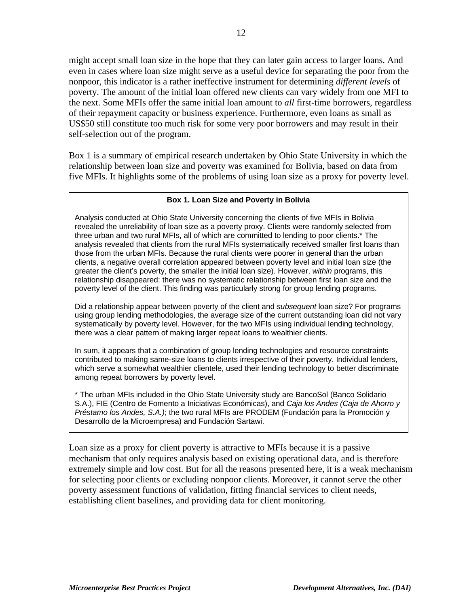might accept small loan size in the hope that they can later gain access to larger loans. And even in cases where loan size might serve as a useful device for separating the poor from the nonpoor, this indicator is a rather ineffective instrument for determining *different levels* of poverty. The amount of the initial loan offered new clients can vary widely from one MFI to the next. Some MFIs offer the same initial loan amount to *all* first-time borrowers, regardless of their repayment capacity or business experience. Furthermore, even loans as small as US\$50 still constitute too much risk for some very poor borrowers and may result in their self-selection out of the program.

Box 1 is a summary of empirical research undertaken by Ohio State University in which the relationship between loan size and poverty was examined for Bolivia, based on data from five MFIs. It highlights some of the problems of using loan size as a proxy for poverty level.

#### **Box 1. Loan Size and Poverty in Bolivia**

Analysis conducted at Ohio State University concerning the clients of five MFIs in Bolivia revealed the unreliability of loan size as a poverty proxy. Clients were randomly selected from three urban and two rural MFIs, all of which are committed to lending to poor clients.\* The analysis revealed that clients from the rural MFIs systematically received smaller first loans than those from the urban MFIs. Because the rural clients were poorer in general than the urban clients, a negative overall correlation appeared between poverty level and initial loan size (the greater the client's poverty, the smaller the initial loan size). However, within programs, this relationship disappeared: there was no systematic relationship between first loan size and the poverty level of the client. This finding was particularly strong for group lending programs.

Did a relationship appear between poverty of the client and *subsequent* loan size? For programs using group lending methodologies, the average size of the current outstanding loan did not vary systematically by poverty level. However, for the two MFIs using individual lending technology, there was a clear pattern of making larger repeat loans to wealthier clients.

In sum, it appears that a combination of group lending technologies and resource constraints contributed to making same-size loans to clients irrespective of their poverty. Individual lenders, which serve a somewhat wealthier clientele, used their lending technology to better discriminate among repeat borrowers by poverty level.

\* The urban MFIs included in the Ohio State University study are BancoSol (Banco Solidario S.A.), FIE (Centro de Fomento a Iniciativas Económicas), and Caja los Andes (Caja de Ahorro y Préstamo los Andes, S.A.); the two rural MFIs are PRODEM (Fundación para la Promoción y Desarrollo de la Microempresa) and Fundación Sartawi.

Loan size as a proxy for client poverty is attractive to MFIs because it is a passive mechanism that only requires analysis based on existing operational data, and is therefore extremely simple and low cost. But for all the reasons presented here, it is a weak mechanism for selecting poor clients or excluding nonpoor clients. Moreover, it cannot serve the other poverty assessment functions of validation, fitting financial services to client needs, establishing client baselines, and providing data for client monitoring.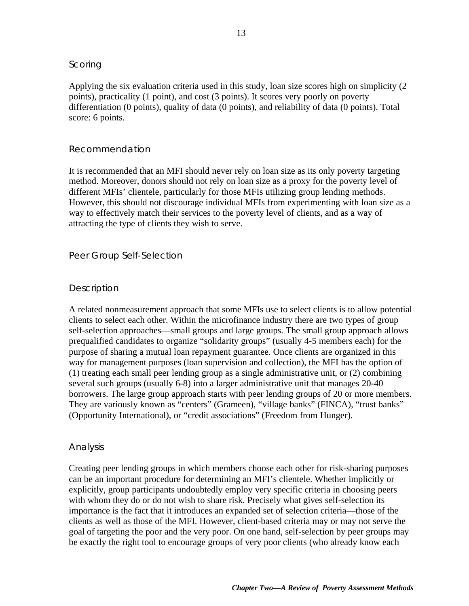#### *Scoring*

Applying the six evaluation criteria used in this study, loan size scores high on simplicity (2 points), practicality (1 point), and cost (3 points). It scores very poorly on poverty differentiation (0 points), quality of data (0 points), and reliability of data (0 points). Total score: 6 points.

#### *Recommendation*

It is recommended that an MFI should never rely on loan size as its only poverty targeting method. Moreover, donors should not rely on loan size as a proxy for the poverty level of different MFIs' clientele, particularly for those MFIs utilizing group lending methods. However, this should not discourage individual MFIs from experimenting with loan size as a way to effectively match their services to the poverty level of clients, and as a way of attracting the type of clients they wish to serve.

#### Peer Group Self-Selection

#### *Description*

A related nonmeasurement approach that some MFIs use to select clients is to allow potential clients to select each other. Within the microfinance industry there are two types of group self-selection approaches—small groups and large groups. The small group approach allows prequalified candidates to organize "solidarity groups" (usually 4-5 members each) for the purpose of sharing a mutual loan repayment guarantee. Once clients are organized in this way for management purposes (loan supervision and collection), the MFI has the option of (1) treating each small peer lending group as a single administrative unit, or (2) combining several such groups (usually 6-8) into a larger administrative unit that manages 20-40 borrowers. The large group approach starts with peer lending groups of 20 or more members. They are variously known as "centers" (Grameen), "village banks" (FINCA), "trust banks" (Opportunity International), or "credit associations" (Freedom from Hunger).

#### *Analysis*

Creating peer lending groups in which members choose each other for risk-sharing purposes can be an important procedure for determining an MFI's clientele. Whether implicitly or explicitly, group participants undoubtedly employ very specific criteria in choosing peers with whom they do or do not wish to share risk. Precisely what gives self-selection its importance is the fact that it introduces an expanded set of selection criteria—those of the clients as well as those of the MFI. However, client-based criteria may or may not serve the goal of targeting the poor and the very poor. On one hand, self-selection by peer groups may be exactly the right tool to encourage groups of very poor clients (who already know each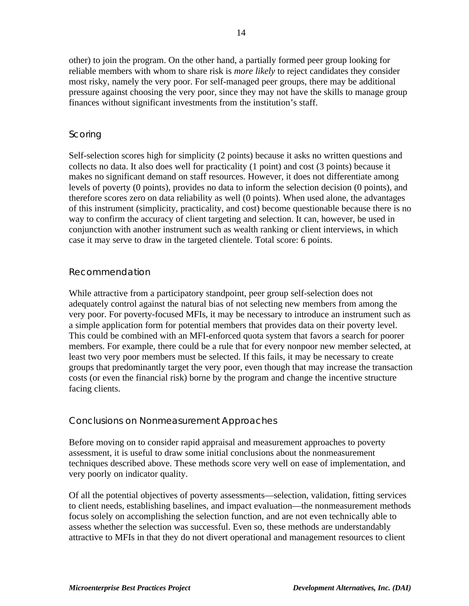other) to join the program. On the other hand, a partially formed peer group looking for reliable members with whom to share risk is *more likely* to reject candidates they consider most risky, namely the very poor. For self-managed peer groups, there may be additional pressure against choosing the very poor, since they may not have the skills to manage group finances without significant investments from the institution's staff.

#### *Scoring*

Self-selection scores high for simplicity (2 points) because it asks no written questions and collects no data. It also does well for practicality (1 point) and cost (3 points) because it makes no significant demand on staff resources. However, it does not differentiate among levels of poverty (0 points), provides no data to inform the selection decision (0 points), and therefore scores zero on data reliability as well (0 points). When used alone, the advantages of this instrument (simplicity, practicality, and cost) become questionable because there is no way to confirm the accuracy of client targeting and selection. It can, however, be used in conjunction with another instrument such as wealth ranking or client interviews, in which case it may serve to draw in the targeted clientele. Total score: 6 points.

#### *Recommendation*

While attractive from a participatory standpoint, peer group self-selection does not adequately control against the natural bias of not selecting new members from among the very poor. For poverty-focused MFIs, it may be necessary to introduce an instrument such as a simple application form for potential members that provides data on their poverty level. This could be combined with an MFI-enforced quota system that favors a search for poorer members. For example, there could be a rule that for every nonpoor new member selected, at least two very poor members must be selected. If this fails, it may be necessary to create groups that predominantly target the very poor, even though that may increase the transaction costs (or even the financial risk) borne by the program and change the incentive structure facing clients.

#### Conclusions on Nonmeasurement Approaches

Before moving on to consider rapid appraisal and measurement approaches to poverty assessment, it is useful to draw some initial conclusions about the nonmeasurement techniques described above. These methods score very well on ease of implementation, and very poorly on indicator quality.

Of all the potential objectives of poverty assessments—selection, validation, fitting services to client needs, establishing baselines, and impact evaluation—the nonmeasurement methods focus solely on accomplishing the selection function, and are not even technically able to assess whether the selection was successful. Even so, these methods are understandably attractive to MFIs in that they do not divert operational and management resources to client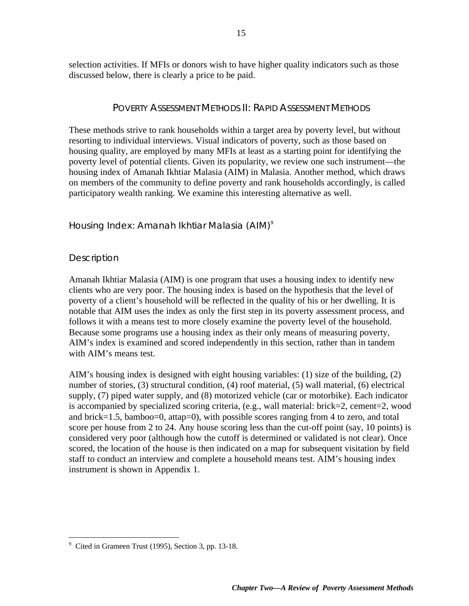selection activities. If MFIs or donors wish to have higher quality indicators such as those discussed below, there is clearly a price to be paid.

#### POVERTY ASSESSMENT METHODS II: RAPID ASSESSMENT METHODS

These methods strive to rank households within a target area by poverty level, but without resorting to individual interviews. Visual indicators of poverty, such as those based on housing quality, are employed by many MFIs at least as a starting point for identifying the poverty level of potential clients. Given its popularity, we review one such instrument—the housing index of Amanah Ikhtiar Malasia (AIM) in Malasia. Another method, which draws on members of the community to define poverty and rank households accordingly, is called participatory wealth ranking. We examine this interesting alternative as well.

#### Housing Index: Amanah Ikhtiar Malasia (AIM)<sup>9</sup>

#### *Description*

Amanah Ikhtiar Malasia (AIM) is one program that uses a housing index to identify new clients who are very poor. The housing index is based on the hypothesis that the level of poverty of a client's household will be reflected in the quality of his or her dwelling. It is notable that AIM uses the index as only the first step in its poverty assessment process, and follows it with a means test to more closely examine the poverty level of the household. Because some programs use a housing index as their only means of measuring poverty, AIM's index is examined and scored independently in this section, rather than in tandem with AIM's means test.

AIM's housing index is designed with eight housing variables: (1) size of the building, (2) number of stories, (3) structural condition, (4) roof material, (5) wall material, (6) electrical supply, (7) piped water supply, and (8) motorized vehicle (car or motorbike). Each indicator is accompanied by specialized scoring criteria, (e.g., wall material: brick=2, cement=2, wood and brick=1.5, bamboo=0, attap=0), with possible scores ranging from 4 to zero, and total score per house from 2 to 24. Any house scoring less than the cut-off point (say, 10 points) is considered very poor (although how the cutoff is determined or validated is not clear). Once scored, the location of the house is then indicated on a map for subsequent visitation by field staff to conduct an interview and complete a household means test. AIM's housing index instrument is shown in Appendix 1.

 9 Cited in Grameen Trust (1995), Section 3, pp. 13-18.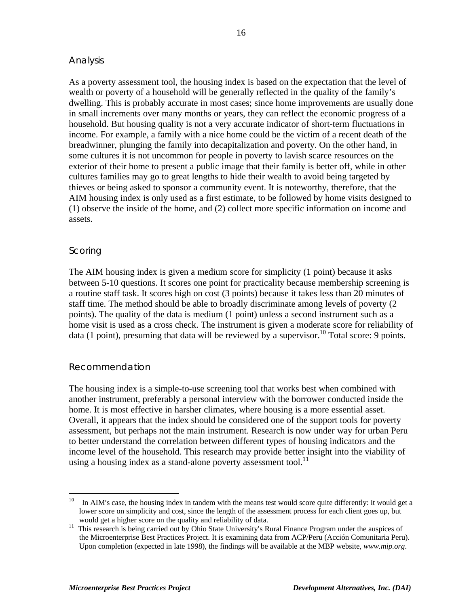#### *Analysis*

As a poverty assessment tool, the housing index is based on the expectation that the level of wealth or poverty of a household will be generally reflected in the quality of the family's dwelling. This is probably accurate in most cases; since home improvements are usually done in small increments over many months or years, they can reflect the economic progress of a household. But housing quality is not a very accurate indicator of short-term fluctuations in income. For example, a family with a nice home could be the victim of a recent death of the breadwinner, plunging the family into decapitalization and poverty. On the other hand, in some cultures it is not uncommon for people in poverty to lavish scarce resources on the exterior of their home to present a public image that their family is better off, while in other cultures families may go to great lengths to hide their wealth to avoid being targeted by thieves or being asked to sponsor a community event. It is noteworthy, therefore, that the AIM housing index is only used as a first estimate, to be followed by home visits designed to (1) observe the inside of the home, and (2) collect more specific information on income and assets.

#### *Scoring*

 $\overline{a}$ 

The AIM housing index is given a medium score for simplicity (1 point) because it asks between 5-10 questions. It scores one point for practicality because membership screening is a routine staff task. It scores high on cost (3 points) because it takes less than 20 minutes of staff time. The method should be able to broadly discriminate among levels of poverty (2 points). The quality of the data is medium (1 point) unless a second instrument such as a home visit is used as a cross check. The instrument is given a moderate score for reliability of data (1 point), presuming that data will be reviewed by a supervisor.<sup>10</sup> Total score: 9 points.

#### *Recommendation*

The housing index is a simple-to-use screening tool that works best when combined with another instrument, preferably a personal interview with the borrower conducted inside the home. It is most effective in harsher climates, where housing is a more essential asset. Overall, it appears that the index should be considered one of the support tools for poverty assessment, but perhaps not the main instrument. Research is now under way for urban Peru to better understand the correlation between different types of housing indicators and the income level of the household. This research may provide better insight into the viability of using a housing index as a stand-alone poverty assessment tool.<sup>11</sup>

 $10$  In AIM's case, the housing index in tandem with the means test would score quite differently: it would get a lower score on simplicity and cost, since the length of the assessment process for each client goes up, but would get a higher score on the quality and reliability of data.

<sup>&</sup>lt;sup>11</sup> This research is being carried out by Ohio State University's Rural Finance Program under the auspices of the Microenterprise Best Practices Project. It is examining data from ACP/Peru (Acción Comunitaria Peru). Upon completion (expected in late 1998), the findings will be available at the MBP website, *www.mip.org*.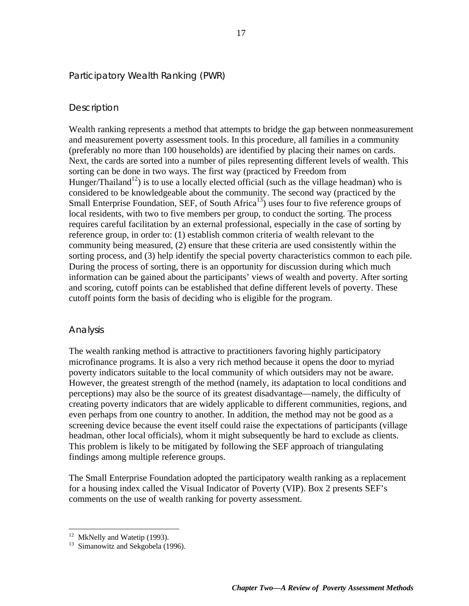#### Participatory Wealth Ranking (PWR)

#### *Description*

Wealth ranking represents a method that attempts to bridge the gap between nonmeasurement and measurement poverty assessment tools. In this procedure, all families in a community (preferably no more than 100 households) are identified by placing their names on cards. Next, the cards are sorted into a number of piles representing different levels of wealth. This sorting can be done in two ways. The first way (practiced by Freedom from Hunger/Thailand<sup>12</sup>) is to use a locally elected official (such as the village headman) who is considered to be knowledgeable about the community. The second way (practiced by the Small Enterprise Foundation, SEF, of South Africa<sup>13</sup>) uses four to five reference groups of local residents, with two to five members per group, to conduct the sorting. The process requires careful facilitation by an external professional, especially in the case of sorting by reference group, in order to: (1) establish common criteria of wealth relevant to the community being measured, (2) ensure that these criteria are used consistently within the sorting process, and (3) help identify the special poverty characteristics common to each pile. During the process of sorting, there is an opportunity for discussion during which much information can be gained about the participants' views of wealth and poverty. After sorting and scoring, cutoff points can be established that define different levels of poverty. These cutoff points form the basis of deciding who is eligible for the program.

#### *Analysis*

The wealth ranking method is attractive to practitioners favoring highly participatory microfinance programs. It is also a very rich method because it opens the door to myriad poverty indicators suitable to the local community of which outsiders may not be aware. However, the greatest strength of the method (namely, its adaptation to local conditions and perceptions) may also be the source of its greatest disadvantage—namely, the difficulty of creating poverty indicators that are widely applicable to different communities, regions, and even perhaps from one country to another. In addition, the method may not be good as a screening device because the event itself could raise the expectations of participants (village headman, other local officials), whom it might subsequently be hard to exclude as clients. This problem is likely to be mitigated by following the SEF approach of triangulating findings among multiple reference groups.

The Small Enterprise Foundation adopted the participatory wealth ranking as a replacement for a housing index called the Visual Indicator of Poverty (VIP). Box 2 presents SEF's comments on the use of wealth ranking for poverty assessment.

 $\overline{a}$ 

<sup>&</sup>lt;sup>12</sup> MkNelly and Watetip (1993).

<sup>&</sup>lt;sup>13</sup> Simanowitz and Sekgobela (1996).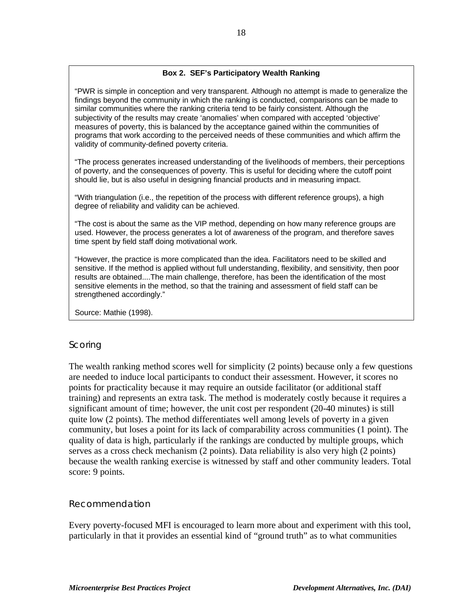#### **Box 2. SEF's Participatory Wealth Ranking**

"PWR is simple in conception and very transparent. Although no attempt is made to generalize the findings beyond the community in which the ranking is conducted, comparisons can be made to similar communities where the ranking criteria tend to be fairly consistent. Although the subjectivity of the results may create 'anomalies' when compared with accepted 'objective' measures of poverty, this is balanced by the acceptance gained within the communities of programs that work according to the perceived needs of these communities and which affirm the validity of community-defined poverty criteria.

"The process generates increased understanding of the livelihoods of members, their perceptions of poverty, and the consequences of poverty. This is useful for deciding where the cutoff point should lie, but is also useful in designing financial products and in measuring impact.

"With triangulation (i.e., the repetition of the process with different reference groups), a high degree of reliability and validity can be achieved.

"The cost is about the same as the VIP method, depending on how many reference groups are used. However, the process generates a lot of awareness of the program, and therefore saves time spent by field staff doing motivational work.

"However, the practice is more complicated than the idea. Facilitators need to be skilled and sensitive. If the method is applied without full understanding, flexibility, and sensitivity, then poor results are obtained....The main challenge, therefore, has been the identification of the most sensitive elements in the method, so that the training and assessment of field staff can be strengthened accordingly."

Source: Mathie (1998).

#### *Scoring*

The wealth ranking method scores well for simplicity (2 points) because only a few questions are needed to induce local participants to conduct their assessment. However, it scores no points for practicality because it may require an outside facilitator (or additional staff training) and represents an extra task. The method is moderately costly because it requires a significant amount of time; however, the unit cost per respondent (20-40 minutes) is still quite low (2 points). The method differentiates well among levels of poverty in a given community, but loses a point for its lack of comparability across communities (1 point). The quality of data is high, particularly if the rankings are conducted by multiple groups, which serves as a cross check mechanism (2 points). Data reliability is also very high (2 points) because the wealth ranking exercise is witnessed by staff and other community leaders. Total score: 9 points.

#### *Recommendation*

Every poverty-focused MFI is encouraged to learn more about and experiment with this tool, particularly in that it provides an essential kind of "ground truth" as to what communities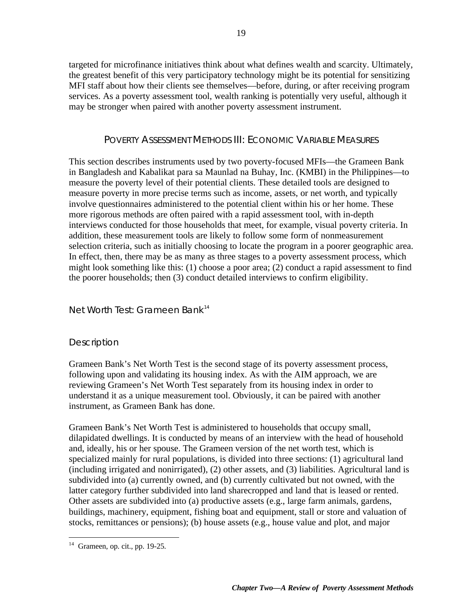targeted for microfinance initiatives think about what defines wealth and scarcity. Ultimately, the greatest benefit of this very participatory technology might be its potential for sensitizing MFI staff about how their clients see themselves—before, during, or after receiving program services. As a poverty assessment tool, wealth ranking is potentially very useful, although it may be stronger when paired with another poverty assessment instrument.

#### POVERTY ASSESSMENT METHODS III: ECONOMIC VARIABLE MEASURES

This section describes instruments used by two poverty-focused MFIs—the Grameen Bank in Bangladesh and Kabalikat para sa Maunlad na Buhay, Inc. (KMBI) in the Philippines—to measure the poverty level of their potential clients. These detailed tools are designed to measure poverty in more precise terms such as income, assets, or net worth, and typically involve questionnaires administered to the potential client within his or her home. These more rigorous methods are often paired with a rapid assessment tool, with in-depth interviews conducted for those households that meet, for example, visual poverty criteria. In addition, these measurement tools are likely to follow some form of nonmeasurement selection criteria, such as initially choosing to locate the program in a poorer geographic area. In effect, then, there may be as many as three stages to a poverty assessment process, which might look something like this: (1) choose a poor area; (2) conduct a rapid assessment to find the poorer households; then (3) conduct detailed interviews to confirm eligibility.

#### Net Worth Test: Grameen Bank<sup>14</sup>

#### *Description*

Grameen Bank's Net Worth Test is the second stage of its poverty assessment process, following upon and validating its housing index. As with the AIM approach, we are reviewing Grameen's Net Worth Test separately from its housing index in order to understand it as a unique measurement tool. Obviously, it can be paired with another instrument, as Grameen Bank has done.

Grameen Bank's Net Worth Test is administered to households that occupy small, dilapidated dwellings. It is conducted by means of an interview with the head of household and, ideally, his or her spouse. The Grameen version of the net worth test, which is specialized mainly for rural populations, is divided into three sections: (1) agricultural land (including irrigated and nonirrigated), (2) other assets, and (3) liabilities. Agricultural land is subdivided into (a) currently owned, and (b) currently cultivated but not owned, with the latter category further subdivided into land sharecropped and land that is leased or rented. Other assets are subdivided into (a) productive assets (e.g., large farm animals, gardens, buildings, machinery, equipment, fishing boat and equipment, stall or store and valuation of stocks, remittances or pensions); (b) house assets (e.g., house value and plot, and major

 $\overline{a}$  $14$  Grameen, op. cit., pp. 19-25.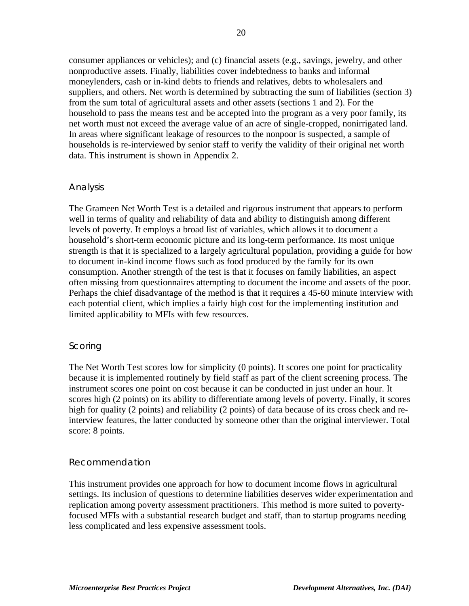consumer appliances or vehicles); and (c) financial assets (e.g., savings, jewelry, and other nonproductive assets. Finally, liabilities cover indebtedness to banks and informal moneylenders, cash or in-kind debts to friends and relatives, debts to wholesalers and suppliers, and others. Net worth is determined by subtracting the sum of liabilities (section 3) from the sum total of agricultural assets and other assets (sections 1 and 2). For the household to pass the means test and be accepted into the program as a very poor family, its net worth must not exceed the average value of an acre of single-cropped, nonirrigated land. In areas where significant leakage of resources to the nonpoor is suspected, a sample of households is re-interviewed by senior staff to verify the validity of their original net worth data. This instrument is shown in Appendix 2.

#### *Analysis*

The Grameen Net Worth Test is a detailed and rigorous instrument that appears to perform well in terms of quality and reliability of data and ability to distinguish among different levels of poverty. It employs a broad list of variables, which allows it to document a household's short-term economic picture and its long-term performance. Its most unique strength is that it is specialized to a largely agricultural population, providing a guide for how to document in-kind income flows such as food produced by the family for its own consumption. Another strength of the test is that it focuses on family liabilities, an aspect often missing from questionnaires attempting to document the income and assets of the poor. Perhaps the chief disadvantage of the method is that it requires a 45-60 minute interview with each potential client, which implies a fairly high cost for the implementing institution and limited applicability to MFIs with few resources.

#### *Scoring*

The Net Worth Test scores low for simplicity (0 points). It scores one point for practicality because it is implemented routinely by field staff as part of the client screening process. The instrument scores one point on cost because it can be conducted in just under an hour. It scores high (2 points) on its ability to differentiate among levels of poverty. Finally, it scores high for quality (2 points) and reliability (2 points) of data because of its cross check and reinterview features, the latter conducted by someone other than the original interviewer. Total score: 8 points.

#### *Recommendation*

This instrument provides one approach for how to document income flows in agricultural settings. Its inclusion of questions to determine liabilities deserves wider experimentation and replication among poverty assessment practitioners. This method is more suited to povertyfocused MFIs with a substantial research budget and staff, than to startup programs needing less complicated and less expensive assessment tools.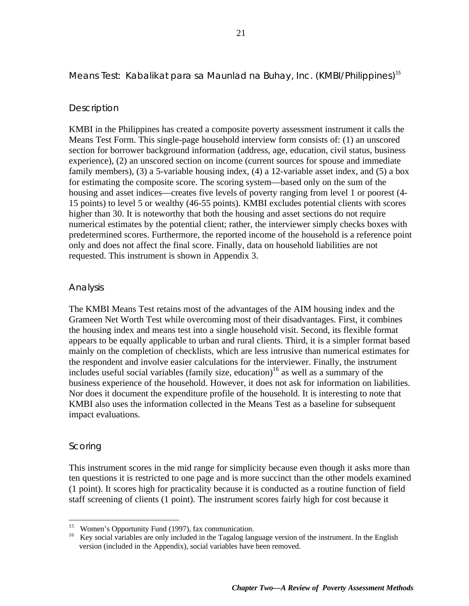#### Means Test: Kabalikat para sa Maunlad na Buhay, Inc. (KMBI/Philippines)<sup>15</sup>

#### *Description*

KMBI in the Philippines has created a composite poverty assessment instrument it calls the Means Test Form. This single-page household interview form consists of: (1) an unscored section for borrower background information (address, age, education, civil status, business experience), (2) an unscored section on income (current sources for spouse and immediate family members), (3) a 5-variable housing index, (4) a 12-variable asset index, and (5) a box for estimating the composite score. The scoring system—based only on the sum of the housing and asset indices—creates five levels of poverty ranging from level 1 or poorest (4- 15 points) to level 5 or wealthy (46-55 points). KMBI excludes potential clients with scores higher than 30. It is noteworthy that both the housing and asset sections do not require numerical estimates by the potential client; rather, the interviewer simply checks boxes with predetermined scores. Furthermore, the reported income of the household is a reference point only and does not affect the final score. Finally, data on household liabilities are not requested. This instrument is shown in Appendix 3.

#### *Analysis*

The KMBI Means Test retains most of the advantages of the AIM housing index and the Grameen Net Worth Test while overcoming most of their disadvantages. First, it combines the housing index and means test into a single household visit. Second, its flexible format appears to be equally applicable to urban and rural clients. Third, it is a simpler format based mainly on the completion of checklists, which are less intrusive than numerical estimates for the respondent and involve easier calculations for the interviewer. Finally, the instrument includes useful social variables (family size, education)<sup>16</sup> as well as a summary of the business experience of the household. However, it does not ask for information on liabilities. Nor does it document the expenditure profile of the household. It is interesting to note that KMBI also uses the information collected in the Means Test as a baseline for subsequent impact evaluations.

#### *Scoring*

This instrument scores in the mid range for simplicity because even though it asks more than ten questions it is restricted to one page and is more succinct than the other models examined (1 point). It scores high for practicality because it is conducted as a routine function of field staff screening of clients (1 point). The instrument scores fairly high for cost because it

<sup>15</sup> Women's Opportunity Fund (1997), fax communication.

<sup>&</sup>lt;sup>16</sup> Key social variables are only included in the Tagalog language version of the instrument. In the English version (included in the Appendix), social variables have been removed.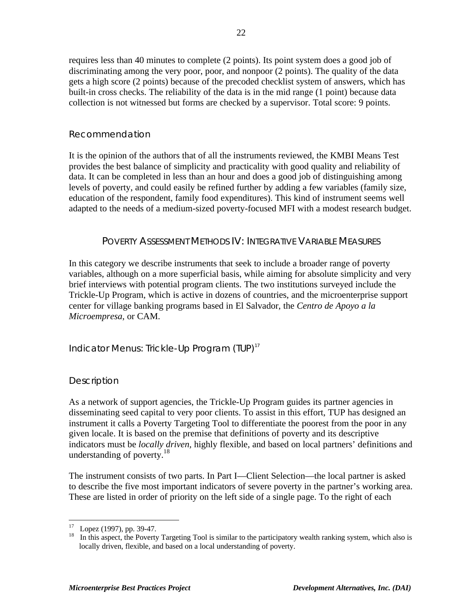requires less than 40 minutes to complete (2 points). Its point system does a good job of discriminating among the very poor, poor, and nonpoor (2 points). The quality of the data gets a high score (2 points) because of the precoded checklist system of answers, which has built-in cross checks. The reliability of the data is in the mid range (1 point) because data collection is not witnessed but forms are checked by a supervisor. Total score: 9 points.

#### *Recommendation*

It is the opinion of the authors that of all the instruments reviewed, the KMBI Means Test provides the best balance of simplicity and practicality with good quality and reliability of data. It can be completed in less than an hour and does a good job of distinguishing among levels of poverty, and could easily be refined further by adding a few variables (family size, education of the respondent, family food expenditures). This kind of instrument seems well adapted to the needs of a medium-sized poverty-focused MFI with a modest research budget.

#### POVERTY ASSESSMENT METHODS IV: INTEGRATIVE VARIABLE MEASURES

In this category we describe instruments that seek to include a broader range of poverty variables, although on a more superficial basis, while aiming for absolute simplicity and very brief interviews with potential program clients. The two institutions surveyed include the Trickle-Up Program, which is active in dozens of countries, and the microenterprise support center for village banking programs based in El Salvador, the *Centro de Apoyo a la Microempresa*, or CAM.

#### Indicator Menus: Trickle-Up Program (TUP) $<sup>17</sup>$ </sup>

#### *Description*

As a network of support agencies, the Trickle-Up Program guides its partner agencies in disseminating seed capital to very poor clients. To assist in this effort, TUP has designed an instrument it calls a Poverty Targeting Tool to differentiate the poorest from the poor in any given locale. It is based on the premise that definitions of poverty and its descriptive indicators must be *locally driven,* highly flexible, and based on local partners' definitions and understanding of poverty. $18$ 

The instrument consists of two parts. In Part I—Client Selection—the local partner is asked to describe the five most important indicators of severe poverty in the partner's working area. These are listed in order of priority on the left side of a single page. To the right of each

 $\overline{a}$  $17$  Lopez (1997), pp. 39-47.

<sup>&</sup>lt;sup>18</sup> In this aspect, the Poverty Targeting Tool is similar to the participatory wealth ranking system, which also is locally driven, flexible, and based on a local understanding of poverty.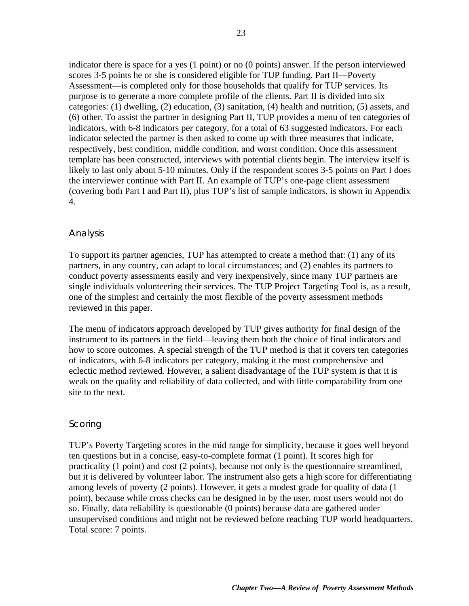indicator there is space for a yes (1 point) or no (0 points) answer. If the person interviewed scores 3-5 points he or she is considered eligible for TUP funding. Part II—Poverty Assessment—is completed only for those households that qualify for TUP services. Its purpose is to generate a more complete profile of the clients. Part II is divided into six categories: (1) dwelling, (2) education, (3) sanitation, (4) health and nutrition, (5) assets, and (6) other. To assist the partner in designing Part II, TUP provides a menu of ten categories of indicators, with 6-8 indicators per category, for a total of 63 suggested indicators. For each indicator selected the partner is then asked to come up with three measures that indicate, respectively, best condition, middle condition, and worst condition. Once this assessment template has been constructed, interviews with potential clients begin. The interview itself is likely to last only about 5-10 minutes. Only if the respondent scores 3-5 points on Part I does the interviewer continue with Part II. An example of TUP's one-page client assessment (covering both Part I and Part II), plus TUP's list of sample indicators, is shown in Appendix 4.

#### *Analysis*

To support its partner agencies, TUP has attempted to create a method that: (1) any of its partners, in any country, can adapt to local circumstances; and (2) enables its partners to conduct poverty assessments easily and very inexpensively, since many TUP partners are single individuals volunteering their services. The TUP Project Targeting Tool is, as a result, one of the simplest and certainly the most flexible of the poverty assessment methods reviewed in this paper.

The menu of indicators approach developed by TUP gives authority for final design of the instrument to its partners in the field—leaving them both the choice of final indicators and how to score outcomes. A special strength of the TUP method is that it covers ten categories of indicators, with 6-8 indicators per category, making it the most comprehensive and eclectic method reviewed. However, a salient disadvantage of the TUP system is that it is weak on the quality and reliability of data collected, and with little comparability from one site to the next.

#### *Scoring*

TUP's Poverty Targeting scores in the mid range for simplicity, because it goes well beyond ten questions but in a concise, easy-to-complete format (1 point). It scores high for practicality (1 point) and cost (2 points), because not only is the questionnaire streamlined, but it is delivered by volunteer labor. The instrument also gets a high score for differentiating among levels of poverty (2 points). However, it gets a modest grade for quality of data (1 point), because while cross checks can be designed in by the user, most users would not do so. Finally, data reliability is questionable (0 points) because data are gathered under unsupervised conditions and might not be reviewed before reaching TUP world headquarters. Total score: 7 points.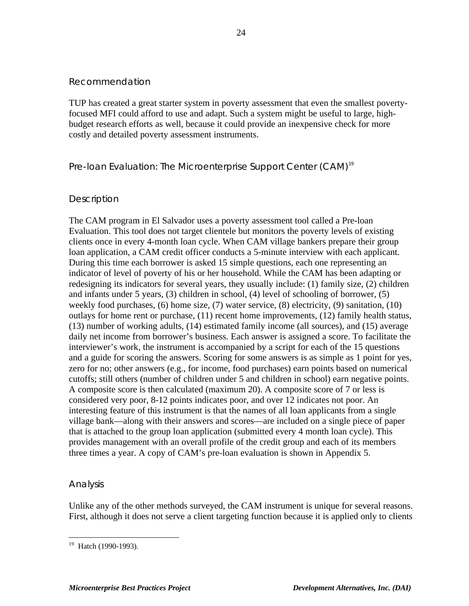#### *Recommendation*

TUP has created a great starter system in poverty assessment that even the smallest povertyfocused MFI could afford to use and adapt. Such a system might be useful to large, highbudget research efforts as well, because it could provide an inexpensive check for more costly and detailed poverty assessment instruments.

#### Pre-loan Evaluation: The Microenterprise Support Center (CAM)<sup>19</sup>

#### *Description*

The CAM program in El Salvador uses a poverty assessment tool called a Pre-loan Evaluation. This tool does not target clientele but monitors the poverty levels of existing clients once in every 4-month loan cycle. When CAM village bankers prepare their group loan application, a CAM credit officer conducts a 5-minute interview with each applicant. During this time each borrower is asked 15 simple questions, each one representing an indicator of level of poverty of his or her household. While the CAM has been adapting or redesigning its indicators for several years, they usually include: (1) family size, (2) children and infants under 5 years, (3) children in school, (4) level of schooling of borrower, (5) weekly food purchases, (6) home size, (7) water service, (8) electricity, (9) sanitation, (10) outlays for home rent or purchase, (11) recent home improvements, (12) family health status, (13) number of working adults, (14) estimated family income (all sources), and (15) average daily net income from borrower's business. Each answer is assigned a score. To facilitate the interviewer's work, the instrument is accompanied by a script for each of the 15 questions and a guide for scoring the answers. Scoring for some answers is as simple as 1 point for yes, zero for no; other answers (e.g., for income, food purchases) earn points based on numerical cutoffs; still others (number of children under 5 and children in school) earn negative points. A composite score is then calculated (maximum 20). A composite score of 7 or less is considered very poor, 8-12 points indicates poor, and over 12 indicates not poor. An interesting feature of this instrument is that the names of all loan applicants from a single village bank—along with their answers and scores—are included on a single piece of paper that is attached to the group loan application (submitted every 4 month loan cycle). This provides management with an overall profile of the credit group and each of its members three times a year. A copy of CAM's pre-loan evaluation is shown in Appendix 5.

#### *Analysis*

Unlike any of the other methods surveyed, the CAM instrument is unique for several reasons. First, although it does not serve a client targeting function because it is applied only to clients

 $\overline{a}$ <sup>19</sup> Hatch (1990-1993).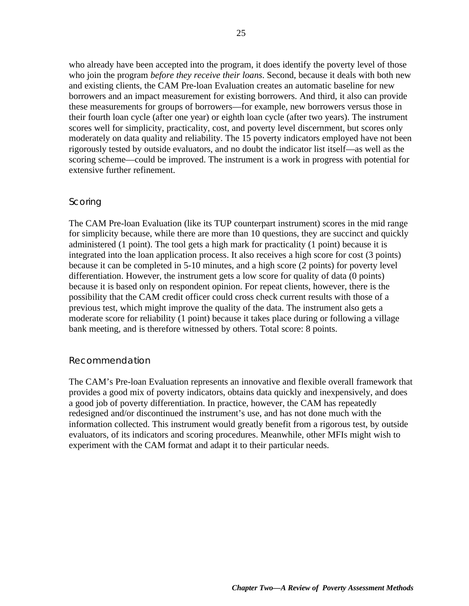who already have been accepted into the program, it does identify the poverty level of those who join the program *before they receive their loans*. Second, because it deals with both new and existing clients, the CAM Pre-loan Evaluation creates an automatic baseline for new borrowers and an impact measurement for existing borrowers. And third, it also can provide these measurements for groups of borrowers—for example, new borrowers versus those in their fourth loan cycle (after one year) or eighth loan cycle (after two years). The instrument scores well for simplicity, practicality, cost, and poverty level discernment, but scores only moderately on data quality and reliability. The 15 poverty indicators employed have not been rigorously tested by outside evaluators, and no doubt the indicator list itself—as well as the scoring scheme—could be improved. The instrument is a work in progress with potential for extensive further refinement.

#### *Scoring*

The CAM Pre-loan Evaluation (like its TUP counterpart instrument) scores in the mid range for simplicity because, while there are more than 10 questions, they are succinct and quickly administered (1 point). The tool gets a high mark for practicality (1 point) because it is integrated into the loan application process. It also receives a high score for cost (3 points) because it can be completed in 5-10 minutes, and a high score (2 points) for poverty level differentiation. However, the instrument gets a low score for quality of data (0 points) because it is based only on respondent opinion. For repeat clients, however, there is the possibility that the CAM credit officer could cross check current results with those of a previous test, which might improve the quality of the data. The instrument also gets a moderate score for reliability (1 point) because it takes place during or following a village bank meeting, and is therefore witnessed by others. Total score: 8 points.

#### *Recommendation*

The CAM's Pre-loan Evaluation represents an innovative and flexible overall framework that provides a good mix of poverty indicators, obtains data quickly and inexpensively, and does a good job of poverty differentiation. In practice, however, the CAM has repeatedly redesigned and/or discontinued the instrument's use, and has not done much with the information collected. This instrument would greatly benefit from a rigorous test, by outside evaluators, of its indicators and scoring procedures. Meanwhile, other MFIs might wish to experiment with the CAM format and adapt it to their particular needs.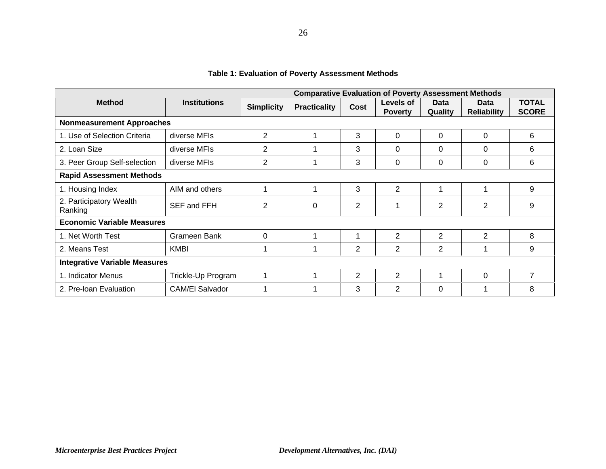|                                      | <b>Comparative Evaluation of Poverty Assessment Methods</b> |                   |                     |                |                             |                        |                            |                              |
|--------------------------------------|-------------------------------------------------------------|-------------------|---------------------|----------------|-----------------------------|------------------------|----------------------------|------------------------------|
| <b>Method</b>                        | <b>Institutions</b>                                         | <b>Simplicity</b> | <b>Practicality</b> | Cost           | Levels of<br><b>Poverty</b> | <b>Data</b><br>Quality | Data<br><b>Reliability</b> | <b>TOTAL</b><br><b>SCORE</b> |
|                                      | <b>Nonmeasurement Approaches</b>                            |                   |                     |                |                             |                        |                            |                              |
| 1. Use of Selection Criteria         | diverse MFIs                                                | $\overline{2}$    | 1                   | 3              | 0                           | $\Omega$               | $\Omega$                   | 6                            |
| 2. Loan Size                         | diverse MFIs                                                | 2                 |                     | 3              | $\Omega$                    | 0                      | 0                          | 6                            |
| 3. Peer Group Self-selection         | diverse MFIs                                                | $\overline{2}$    | 1                   | 3              | $\Omega$                    | $\Omega$               | 0                          | 6                            |
| <b>Rapid Assessment Methods</b>      |                                                             |                   |                     |                |                             |                        |                            |                              |
| 1. Housing Index                     | AIM and others                                              | 1                 | 1                   | 3              | $\overline{2}$              |                        | 1                          | 9                            |
| 2. Participatory Wealth<br>Ranking   | SEF and FFH                                                 | $\overline{2}$    | 0                   | $\overline{2}$ |                             | $\overline{2}$         | $\overline{2}$             | 9                            |
| <b>Economic Variable Measures</b>    |                                                             |                   |                     |                |                             |                        |                            |                              |
| 1. Net Worth Test                    | Grameen Bank                                                | 0                 | 1                   |                | $\overline{2}$              | $\overline{2}$         | $\overline{2}$             | 8                            |
| 2. Means Test                        | <b>KMBI</b>                                                 | 1                 |                     | $\overline{2}$ | $\overline{2}$              | 2                      | 1                          | 9                            |
| <b>Integrative Variable Measures</b> |                                                             |                   |                     |                |                             |                        |                            |                              |
| 1. Indicator Menus                   | Trickle-Up Program                                          | 1                 | 1                   | $\overline{2}$ | $\overline{2}$              |                        | $\Omega$                   | 7                            |
| 2. Pre-Ioan Evaluation               | CAM/El Salvador                                             | 1                 | 1                   | 3              | 2                           | $\Omega$               | 1                          | 8                            |

#### **Table 1: Evaluation of Poverty Assessment Methods**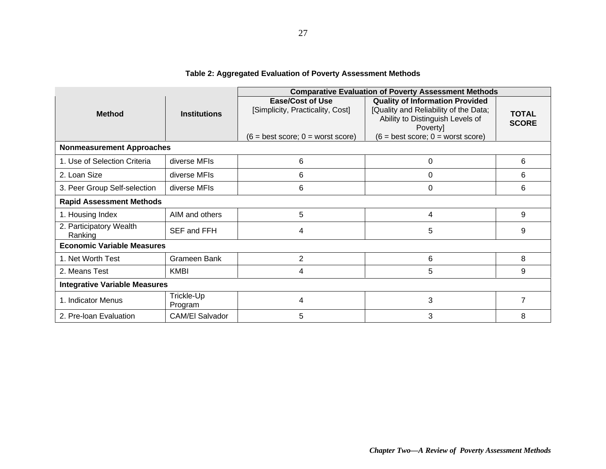|                                      |                       | <b>Comparative Evaluation of Poverty Assessment Methods</b>                                        |                                                                                                                                                                        |                              |  |  |  |
|--------------------------------------|-----------------------|----------------------------------------------------------------------------------------------------|------------------------------------------------------------------------------------------------------------------------------------------------------------------------|------------------------------|--|--|--|
| <b>Method</b>                        | <b>Institutions</b>   | <b>Ease/Cost of Use</b><br>[Simplicity, Practicality, Cost]<br>$(6 = best score; 0 = worst score)$ | <b>Quality of Information Provided</b><br>[Quality and Reliability of the Data;<br>Ability to Distinguish Levels of<br>Poverty]<br>$(6 = best score; 0 = worst score)$ | <b>TOTAL</b><br><b>SCORE</b> |  |  |  |
| <b>Nonmeasurement Approaches</b>     |                       |                                                                                                    |                                                                                                                                                                        |                              |  |  |  |
| 1. Use of Selection Criteria         | diverse MFIs          | 6                                                                                                  | 0                                                                                                                                                                      | 6                            |  |  |  |
| 2. Loan Size                         | diverse MFIs          | 6                                                                                                  | $\Omega$                                                                                                                                                               | 6                            |  |  |  |
| 3. Peer Group Self-selection         | diverse MFIs          | 6                                                                                                  | 0                                                                                                                                                                      | 6                            |  |  |  |
| <b>Rapid Assessment Methods</b>      |                       |                                                                                                    |                                                                                                                                                                        |                              |  |  |  |
| 1. Housing Index                     | AIM and others        | 5                                                                                                  | 4                                                                                                                                                                      | 9                            |  |  |  |
| 2. Participatory Wealth<br>Ranking   | SEF and FFH           | 4                                                                                                  | 5                                                                                                                                                                      | 9                            |  |  |  |
| <b>Economic Variable Measures</b>    |                       |                                                                                                    |                                                                                                                                                                        |                              |  |  |  |
| 1. Net Worth Test                    | Grameen Bank          | $\overline{2}$                                                                                     | 6                                                                                                                                                                      | 8                            |  |  |  |
| 2. Means Test                        | <b>KMBI</b>           | 4                                                                                                  | 5                                                                                                                                                                      | 9                            |  |  |  |
| <b>Integrative Variable Measures</b> |                       |                                                                                                    |                                                                                                                                                                        |                              |  |  |  |
| 1. Indicator Menus                   | Trickle-Up<br>Program | 4                                                                                                  | 3                                                                                                                                                                      | 7                            |  |  |  |
| 2. Pre-Ioan Evaluation               | CAM/El Salvador       | 5                                                                                                  | 3                                                                                                                                                                      | 8                            |  |  |  |

#### **Table 2: Aggregated Evaluation of Poverty Assessment Methods**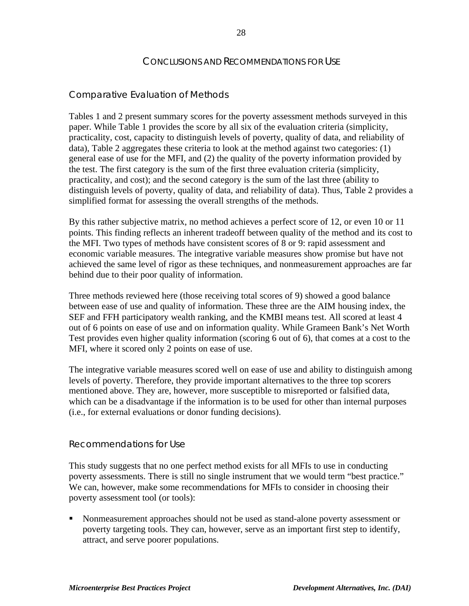#### CONCLUSIONS AND RECOMMENDATIONS FOR USE

#### Comparative Evaluation of Methods

Tables 1 and 2 present summary scores for the poverty assessment methods surveyed in this paper. While Table 1 provides the score by all six of the evaluation criteria (simplicity, practicality, cost, capacity to distinguish levels of poverty, quality of data, and reliability of data), Table 2 aggregates these criteria to look at the method against two categories: (1) general ease of use for the MFI, and (2) the quality of the poverty information provided by the test. The first category is the sum of the first three evaluation criteria (simplicity, practicality, and cost); and the second category is the sum of the last three (ability to distinguish levels of poverty, quality of data, and reliability of data). Thus, Table 2 provides a simplified format for assessing the overall strengths of the methods.

By this rather subjective matrix, no method achieves a perfect score of 12, or even 10 or 11 points. This finding reflects an inherent tradeoff between quality of the method and its cost to the MFI. Two types of methods have consistent scores of 8 or 9: rapid assessment and economic variable measures. The integrative variable measures show promise but have not achieved the same level of rigor as these techniques, and nonmeasurement approaches are far behind due to their poor quality of information.

Three methods reviewed here (those receiving total scores of 9) showed a good balance between ease of use and quality of information. These three are the AIM housing index, the SEF and FFH participatory wealth ranking, and the KMBI means test. All scored at least 4 out of 6 points on ease of use and on information quality. While Grameen Bank's Net Worth Test provides even higher quality information (scoring 6 out of 6), that comes at a cost to the MFI, where it scored only 2 points on ease of use.

The integrative variable measures scored well on ease of use and ability to distinguish among levels of poverty. Therefore, they provide important alternatives to the three top scorers mentioned above. They are, however, more susceptible to misreported or falsified data, which can be a disadvantage if the information is to be used for other than internal purposes (i.e., for external evaluations or donor funding decisions).

#### Recommendations for Use

This study suggests that no one perfect method exists for all MFIs to use in conducting poverty assessments. There is still no single instrument that we would term "best practice." We can, however, make some recommendations for MFIs to consider in choosing their poverty assessment tool (or tools):

ß Nonmeasurement approaches should not be used as stand-alone poverty assessment or poverty targeting tools. They can, however, serve as an important first step to identify, attract, and serve poorer populations.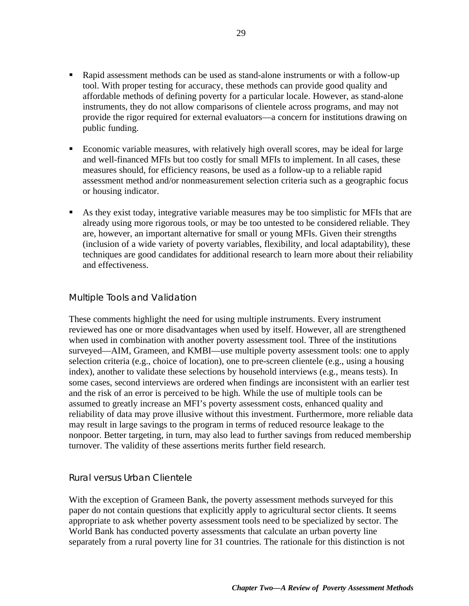- Rapid assessment methods can be used as stand-alone instruments or with a follow-up tool. With proper testing for accuracy, these methods can provide good quality and affordable methods of defining poverty for a particular locale. However, as stand-alone instruments, they do not allow comparisons of clientele across programs, and may not provide the rigor required for external evaluators—a concern for institutions drawing on public funding.
- **Example 1** Economic variable measures, with relatively high overall scores, may be ideal for large and well-financed MFIs but too costly for small MFIs to implement. In all cases, these measures should, for efficiency reasons, be used as a follow-up to a reliable rapid assessment method and/or nonmeasurement selection criteria such as a geographic focus or housing indicator.
- ß As they exist today, integrative variable measures may be too simplistic for MFIs that are already using more rigorous tools, or may be too untested to be considered reliable. They are, however, an important alternative for small or young MFIs. Given their strengths (inclusion of a wide variety of poverty variables, flexibility, and local adaptability), these techniques are good candidates for additional research to learn more about their reliability and effectiveness.

#### Multiple Tools and Validation

These comments highlight the need for using multiple instruments. Every instrument reviewed has one or more disadvantages when used by itself. However, all are strengthened when used in combination with another poverty assessment tool. Three of the institutions surveyed—AIM, Grameen, and KMBI—use multiple poverty assessment tools: one to apply selection criteria (e.g., choice of location), one to pre-screen clientele (e.g., using a housing index), another to validate these selections by household interviews (e.g., means tests). In some cases, second interviews are ordered when findings are inconsistent with an earlier test and the risk of an error is perceived to be high. While the use of multiple tools can be assumed to greatly increase an MFI's poverty assessment costs, enhanced quality and reliability of data may prove illusive without this investment. Furthermore, more reliable data may result in large savings to the program in terms of reduced resource leakage to the nonpoor. Better targeting, in turn, may also lead to further savings from reduced membership turnover. The validity of these assertions merits further field research.

#### Rural versus Urban Clientele

With the exception of Grameen Bank, the poverty assessment methods surveyed for this paper do not contain questions that explicitly apply to agricultural sector clients. It seems appropriate to ask whether poverty assessment tools need to be specialized by sector. The World Bank has conducted poverty assessments that calculate an urban poverty line separately from a rural poverty line for 31 countries. The rationale for this distinction is not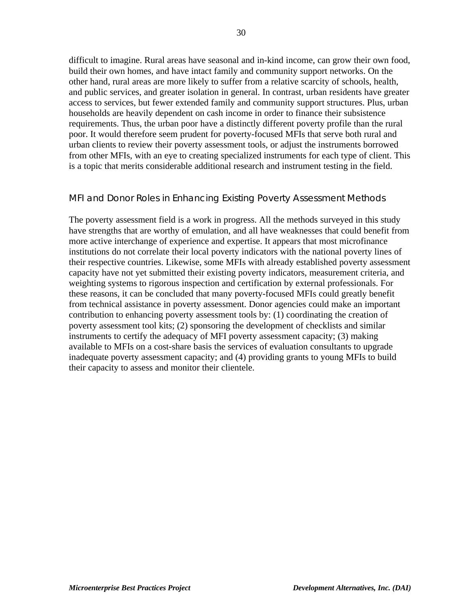difficult to imagine. Rural areas have seasonal and in-kind income, can grow their own food, build their own homes, and have intact family and community support networks. On the other hand, rural areas are more likely to suffer from a relative scarcity of schools, health, and public services, and greater isolation in general. In contrast, urban residents have greater access to services, but fewer extended family and community support structures. Plus, urban households are heavily dependent on cash income in order to finance their subsistence requirements. Thus, the urban poor have a distinctly different poverty profile than the rural poor. It would therefore seem prudent for poverty-focused MFIs that serve both rural and urban clients to review their poverty assessment tools, or adjust the instruments borrowed from other MFIs, with an eye to creating specialized instruments for each type of client. This is a topic that merits considerable additional research and instrument testing in the field.

#### MFI and Donor Roles in Enhancing Existing Poverty Assessment Methods

The poverty assessment field is a work in progress. All the methods surveyed in this study have strengths that are worthy of emulation, and all have weaknesses that could benefit from more active interchange of experience and expertise. It appears that most microfinance institutions do not correlate their local poverty indicators with the national poverty lines of their respective countries. Likewise, some MFIs with already established poverty assessment capacity have not yet submitted their existing poverty indicators, measurement criteria, and weighting systems to rigorous inspection and certification by external professionals. For these reasons, it can be concluded that many poverty-focused MFIs could greatly benefit from technical assistance in poverty assessment. Donor agencies could make an important contribution to enhancing poverty assessment tools by: (1) coordinating the creation of poverty assessment tool kits; (2) sponsoring the development of checklists and similar instruments to certify the adequacy of MFI poverty assessment capacity; (3) making available to MFIs on a cost-share basis the services of evaluation consultants to upgrade inadequate poverty assessment capacity; and (4) providing grants to young MFIs to build their capacity to assess and monitor their clientele.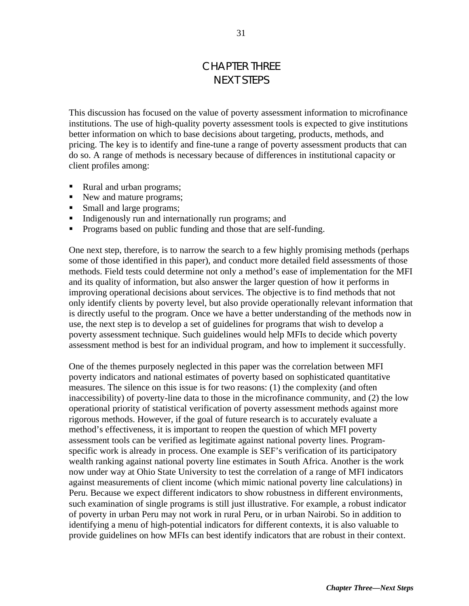## CHAPTER THREE NEXT STEPS

This discussion has focused on the value of poverty assessment information to microfinance institutions. The use of high-quality poverty assessment tools is expected to give institutions better information on which to base decisions about targeting, products, methods, and pricing. The key is to identify and fine-tune a range of poverty assessment products that can do so. A range of methods is necessary because of differences in institutional capacity or client profiles among:

- Rural and urban programs;
- New and mature programs;
- Small and large programs;
- ß Indigenously run and internationally run programs; and
- ß Programs based on public funding and those that are self-funding.

One next step, therefore, is to narrow the search to a few highly promising methods (perhaps some of those identified in this paper), and conduct more detailed field assessments of those methods. Field tests could determine not only a method's ease of implementation for the MFI and its quality of information, but also answer the larger question of how it performs in improving operational decisions about services. The objective is to find methods that not only identify clients by poverty level, but also provide operationally relevant information that is directly useful to the program. Once we have a better understanding of the methods now in use, the next step is to develop a set of guidelines for programs that wish to develop a poverty assessment technique. Such guidelines would help MFIs to decide which poverty assessment method is best for an individual program, and how to implement it successfully.

One of the themes purposely neglected in this paper was the correlation between MFI poverty indicators and national estimates of poverty based on sophisticated quantitative measures. The silence on this issue is for two reasons: (1) the complexity (and often inaccessibility) of poverty-line data to those in the microfinance community, and (2) the low operational priority of statistical verification of poverty assessment methods against more rigorous methods. However, if the goal of future research is to accurately evaluate a method's effectiveness, it is important to reopen the question of which MFI poverty assessment tools can be verified as legitimate against national poverty lines. Programspecific work is already in process. One example is SEF's verification of its participatory wealth ranking against national poverty line estimates in South Africa. Another is the work now under way at Ohio State University to test the correlation of a range of MFI indicators against measurements of client income (which mimic national poverty line calculations) in Peru. Because we expect different indicators to show robustness in different environments, such examination of single programs is still just illustrative. For example, a robust indicator of poverty in urban Peru may not work in rural Peru, or in urban Nairobi. So in addition to identifying a menu of high-potential indicators for different contexts, it is also valuable to provide guidelines on how MFIs can best identify indicators that are robust in their context.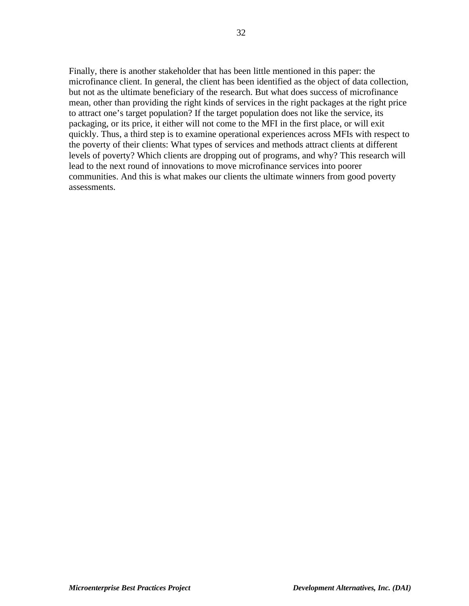Finally, there is another stakeholder that has been little mentioned in this paper: the microfinance client. In general, the client has been identified as the object of data collection, but not as the ultimate beneficiary of the research. But what does success of microfinance mean, other than providing the right kinds of services in the right packages at the right price to attract one's target population? If the target population does not like the service, its packaging, or its price, it either will not come to the MFI in the first place, or will exit quickly. Thus, a third step is to examine operational experiences across MFIs with respect to the poverty of their clients: What types of services and methods attract clients at different levels of poverty? Which clients are dropping out of programs, and why? This research will lead to the next round of innovations to move microfinance services into poorer communities. And this is what makes our clients the ultimate winners from good poverty assessments.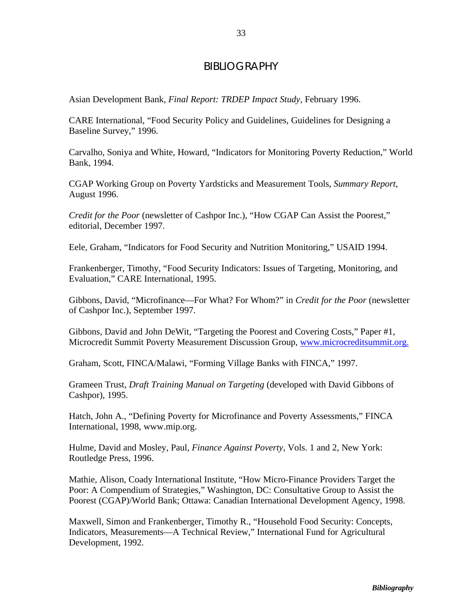#### BIBLIOGRAPHY

Asian Development Bank*, Final Report: TRDEP Impact Study,* February 1996.

CARE International, "Food Security Policy and Guidelines, Guidelines for Designing a Baseline Survey," 1996.

Carvalho, Soniya and White, Howard, "Indicators for Monitoring Poverty Reduction," World Bank, 1994.

CGAP Working Group on Poverty Yardsticks and Measurement Tools, *Summary Report*, August 1996.

*Credit for the Poor* (newsletter of Cashpor Inc.), "How CGAP Can Assist the Poorest," editorial, December 1997.

Eele, Graham, "Indicators for Food Security and Nutrition Monitoring," USAID 1994.

Frankenberger, Timothy, "Food Security Indicators: Issues of Targeting, Monitoring, and Evaluation," CARE International, 1995.

Gibbons, David, "Microfinance—For What? For Whom?" in *Credit for the Poor* (newsletter of Cashpor Inc.), September 1997.

Gibbons, David and John DeWit, "Targeting the Poorest and Covering Costs," Paper #1, Microcredit Summit Poverty Measurement Discussion Group, www.microcreditsummit.org.

Graham, Scott, FINCA/Malawi, "Forming Village Banks with FINCA," 1997.

Grameen Trust, *Draft Training Manual on Targeting* (developed with David Gibbons of Cashpor), 1995.

Hatch, John A., "Defining Poverty for Microfinance and Poverty Assessments," FINCA International, 1998, www.mip.org.

Hulme, David and Mosley, Paul, *Finance Against Poverty,* Vols. 1 and 2, New York: Routledge Press, 1996.

Mathie, Alison, Coady International Institute, "How Micro-Finance Providers Target the Poor: A Compendium of Strategies," Washington, DC: Consultative Group to Assist the Poorest (CGAP)/World Bank; Ottawa: Canadian International Development Agency, 1998.

Maxwell, Simon and Frankenberger, Timothy R., "Household Food Security: Concepts, Indicators, Measurements—A Technical Review," International Fund for Agricultural Development, 1992.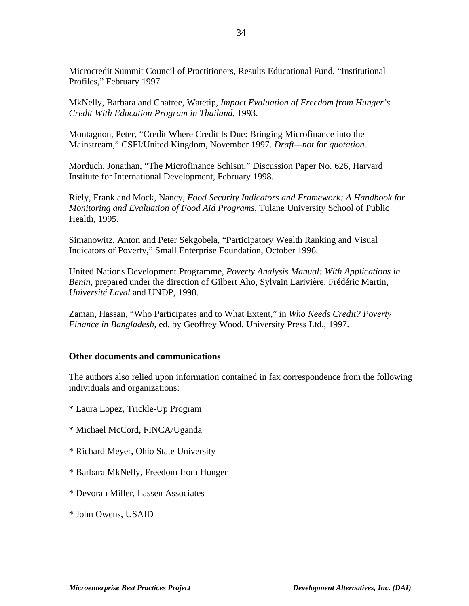Microcredit Summit Council of Practitioners, Results Educational Fund, "Institutional Profiles," February 1997.

MkNelly, Barbara and Chatree, Watetip, *Impact Evaluation of Freedom from Hunger's Credit With Education Program in Thailand*, 1993.

Montagnon, Peter, "Credit Where Credit Is Due: Bringing Microfinance into the Mainstream," CSFI/United Kingdom, November 1997. *Draft—not for quotation.*

Morduch, Jonathan, "The Microfinance Schism," Discussion Paper No. 626, Harvard Institute for International Development, February 1998.

Riely, Frank and Mock, Nancy, *Food Security Indicators and Framework: A Handbook for Monitoring and Evaluation of Food Aid Programs*, Tulane University School of Public Health, 1995.

Simanowitz, Anton and Peter Sekgobela, "Participatory Wealth Ranking and Visual Indicators of Poverty," Small Enterprise Foundation, October 1996.

United Nations Development Programme, *Poverty Analysis Manual: With Applications in Benin,* prepared under the direction of Gilbert Aho, Sylvain Larivière, Frédéric Martin, *Université Laval* and UNDP, 1998.

Zaman, Hassan, "Who Participates and to What Extent," in *Who Needs Credit? Poverty Finance in Bangladesh*, ed. by Geoffrey Wood, University Press Ltd., 1997.

#### **Other documents and communications**

The authors also relied upon information contained in fax correspondence from the following individuals and organizations:

- \* Laura Lopez, Trickle-Up Program
- \* Michael McCord, FINCA/Uganda
- \* Richard Meyer, Ohio State University
- \* Barbara MkNelly, Freedom from Hunger
- \* Devorah Miller, Lassen Associates
- \* John Owens, USAID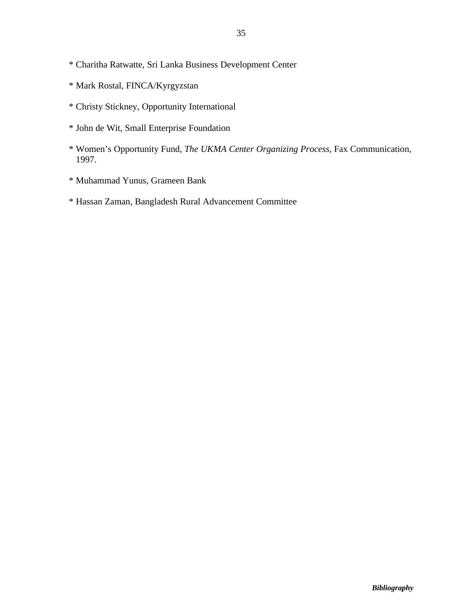- \* Charitha Ratwatte, Sri Lanka Business Development Center
- \* Mark Rostal, FINCA/Kyrgyzstan
- \* Christy Stickney, Opportunity International
- \* John de Wit, Small Enterprise Foundation
- \* Women's Opportunity Fund, *The UKMA Center Organizing Process,* Fax Communication, 1997.
- \* Muhammad Yunus, Grameen Bank
- \* Hassan Zaman, Bangladesh Rural Advancement Committee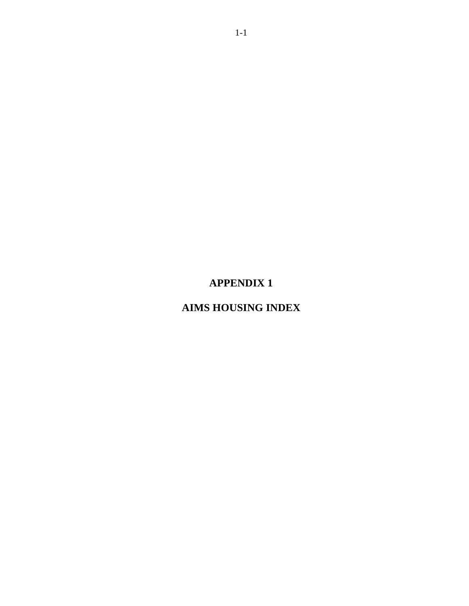## **APPENDIX 1**

## **AIMS HOUSING INDEX**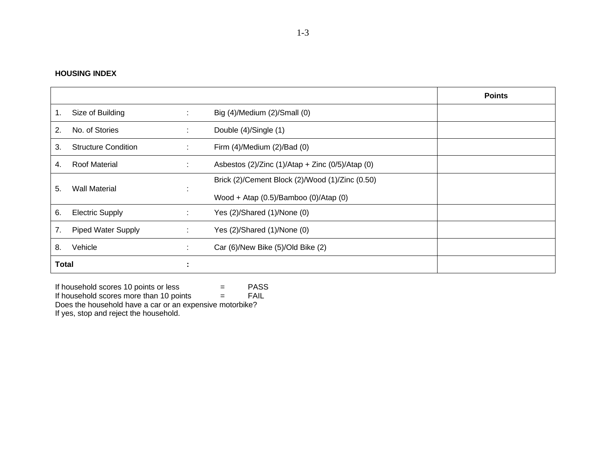#### **HOUSING INDEX**

|                |                            |          |                                                             | <b>Points</b> |
|----------------|----------------------------|----------|-------------------------------------------------------------|---------------|
| $\mathbf{1}$ . | Size of Building           | ÷        | Big (4)/Medium (2)/Small (0)                                |               |
| 2.             | No. of Stories             | ÷        | Double (4)/Single (1)                                       |               |
| 3.             | <b>Structure Condition</b> | ÷        | Firm $(4)$ /Medium $(2)$ /Bad $(0)$                         |               |
| 4.             | <b>Roof Material</b>       | ÷        | Asbestos $(2)/Z$ inc $(1)/A$ tap + Zinc $(0/5)/A$ tap $(0)$ |               |
| 5.             | <b>Wall Material</b>       |          | Brick (2)/Cement Block (2)/Wood (1)/Zinc (0.50)             |               |
|                |                            | <b>.</b> | Wood + Atap $(0.5)/$ Bamboo $(0)/$ Atap $(0)$               |               |
| 6.             | <b>Electric Supply</b>     | ÷        | Yes (2)/Shared (1)/None (0)                                 |               |
| 7.             | <b>Piped Water Supply</b>  | ÷        | Yes (2)/Shared (1)/None (0)                                 |               |
| 8.             | Vehicle                    | ÷        | Car (6)/New Bike (5)/Old Bike (2)                           |               |
| <b>Total</b>   |                            | л.<br>٠. |                                                             |               |

If household scores 10 points or less  $=$  PASS

If household scores more than 10 points  $=$  FAIL

Does the household have a car or an expensive motorbike?

If yes, stop and reject the household.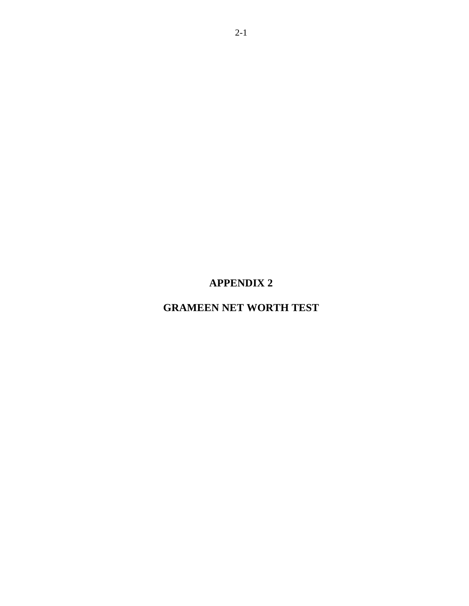## **APPENDIX 2**

## **GRAMEEN NET WORTH TEST**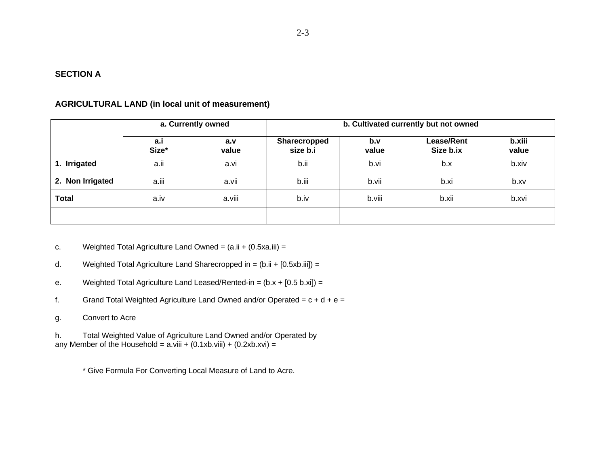#### **SECTION A**

#### **AGRICULTURAL LAND (in local unit of measurement)**

|                  | a. Currently owned |              | b. Cultivated currently but not owned |              |                                |                 |  |  |
|------------------|--------------------|--------------|---------------------------------------|--------------|--------------------------------|-----------------|--|--|
|                  | a.i<br>Size*       | a.v<br>value | Sharecropped<br>size b.i              | b.v<br>value | <b>Lease/Rent</b><br>Size b.ix | b.xiii<br>value |  |  |
| 1. Irrigated     | a.ii               | a.vi         | b.ii                                  | b.vi         | b.x                            | b.xiv           |  |  |
| 2. Non Irrigated | a.iii              | a.vii        | b.iii                                 | b.vii        | b.xi                           | b.xv            |  |  |
| <b>Total</b>     | a.iv               | a.viii       | b.iv                                  | b.viii       | b.xii                          | b.xvi           |  |  |
|                  |                    |              |                                       |              |                                |                 |  |  |

c. Weighted Total Agriculture Land Owned = (a.ii + (0.5xa.iii) =

- d. Weighted Total Agriculture Land Sharecropped in =  $(b \cdot ii + [0.5xb \cdot iii]) =$
- e. Weighted Total Agriculture Land Leased/Rented-in =  $(b.x + [0.5 b.xi]) =$
- f. Grand Total Weighted Agriculture Land Owned and/or Operated =  $c + d + e =$
- g. Convert to Acre

h. Total Weighted Value of Agriculture Land Owned and/or Operated by any Member of the Household =  $a$ .viii + (0.1xb.viii) + (0.2xb.xvi) =

\* Give Formula For Converting Local Measure of Land to Acre.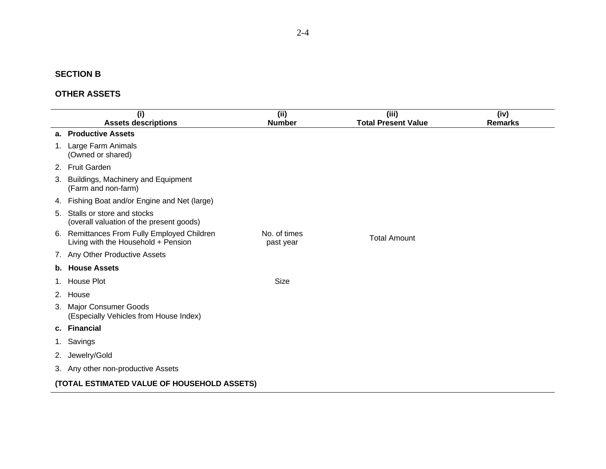#### **SECTION B**

#### **OTHER ASSETS**

| (i)<br><b>Assets descriptions</b>                                                  | (i)<br><b>Number</b>      | (iii)<br><b>Total Present Value</b> | (iv)<br><b>Remarks</b> |
|------------------------------------------------------------------------------------|---------------------------|-------------------------------------|------------------------|
| a. Productive Assets                                                               |                           |                                     |                        |
| Large Farm Animals<br>1.<br>(Owned or shared)                                      |                           |                                     |                        |
| <b>Fruit Garden</b><br>2.                                                          |                           |                                     |                        |
| Buildings, Machinery and Equipment<br>3.<br>(Farm and non-farm)                    |                           |                                     |                        |
| Fishing Boat and/or Engine and Net (large)<br>4.                                   |                           |                                     |                        |
| Stalls or store and stocks<br>5.<br>(overall valuation of the present goods)       |                           |                                     |                        |
| 6. Remittances From Fully Employed Children<br>Living with the Household + Pension | No. of times<br>past year | <b>Total Amount</b>                 |                        |
| 7. Any Other Productive Assets                                                     |                           |                                     |                        |
| <b>House Assets</b><br>b.                                                          |                           |                                     |                        |
| <b>House Plot</b><br>1.                                                            | <b>Size</b>               |                                     |                        |
| House<br>2.                                                                        |                           |                                     |                        |
| <b>Major Consumer Goods</b><br>3.<br>(Especially Vehicles from House Index)        |                           |                                     |                        |
| <b>Financial</b><br>C.                                                             |                           |                                     |                        |
| Savings<br>$1_{\cdot}$                                                             |                           |                                     |                        |
| Jewelry/Gold<br>2.                                                                 |                           |                                     |                        |
| 3. Any other non-productive Assets                                                 |                           |                                     |                        |
| (TOTAL ESTIMATED VALUE OF HOUSEHOLD ASSETS)                                        |                           |                                     |                        |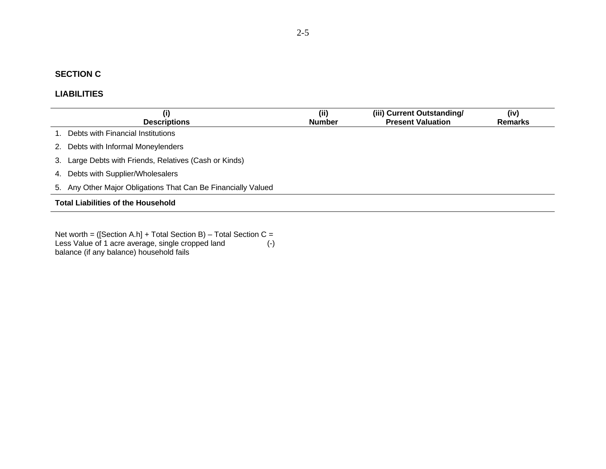#### **SECTION C**

#### **LIABILITIES**

| (i)                                                           | (ii)          | (iii) Current Outstanding/ | (iv)           |
|---------------------------------------------------------------|---------------|----------------------------|----------------|
| <b>Descriptions</b>                                           | <b>Number</b> | <b>Present Valuation</b>   | <b>Remarks</b> |
| 1. Debts with Financial Institutions                          |               |                            |                |
| 2. Debts with Informal Moneylenders                           |               |                            |                |
| 3. Large Debts with Friends, Relatives (Cash or Kinds)        |               |                            |                |
| 4. Debts with Supplier/Wholesalers                            |               |                            |                |
| 5. Any Other Major Obligations That Can Be Financially Valued |               |                            |                |
| <b>Total Liabilities of the Household</b>                     |               |                            |                |

Net worth = ([Section A.h] + Total Section B) – Total Section C = Less Value of 1 acre average, single cropped land (-) balance (if any balance) household fails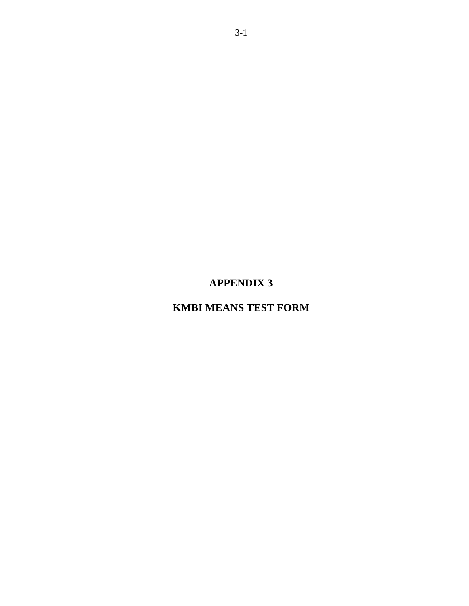## **APPENDIX 3**

## **KMBI MEANS TEST FORM**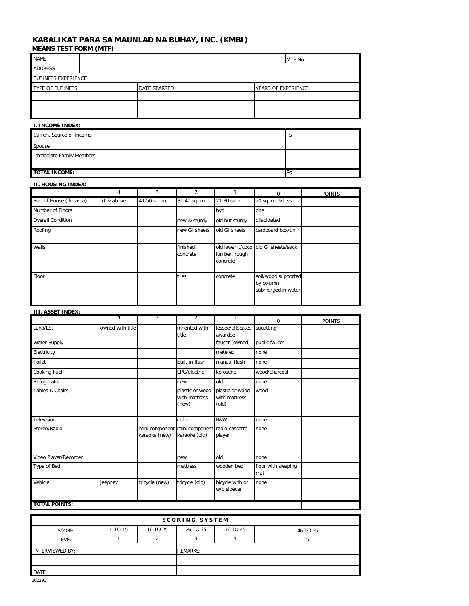#### **KABALIKAT PARA SA MAUNLAD NA BUHAY, INC. (KMBI)**

| <b>MEANS TEST FORM (MTF)</b> |              |                     |  |  |  |  |
|------------------------------|--------------|---------------------|--|--|--|--|
| <b>NAME</b>                  | MTF No.:     |                     |  |  |  |  |
| ADDRESS                      |              |                     |  |  |  |  |
| <b>BUSINESS EXPERIENCE</b>   |              |                     |  |  |  |  |
| TYPE OF BUSINESS             | DATE STARTED | YEARS OF EXPERIENCE |  |  |  |  |
|                              |              |                     |  |  |  |  |
|                              |              |                     |  |  |  |  |
|                              |              |                     |  |  |  |  |
| <b>I. INCOME INDEX:</b>      |              |                     |  |  |  |  |

| Current Source of Income | <b>IPs</b> |
|--------------------------|------------|
| Spouse                   |            |
| Immediate Family Members |            |
|                          |            |
| <b>TOTAL INCOME:</b>     | Ps         |

#### **II. HOUSING INDEX:**

|                           | 4          | 3            | $\mathfrak{p}$       |                           | $\Omega$                                               | <b>POINTS</b> |
|---------------------------|------------|--------------|----------------------|---------------------------|--------------------------------------------------------|---------------|
| Size of House (flr. area) | 51 & above | 41-50 sq. m. | 31-40 sq. m.         | 21-30 sq. m.              | 20 sq. m. & less                                       |               |
| Number of Floors          |            |              |                      | two                       | one                                                    |               |
| <b>Overall Condition</b>  |            |              | new & sturdy         | old but sturdy            | dilapidated                                            |               |
| Roofing                   |            |              | new GI sheets        | old GI sheets             | cardboard box/tin                                      |               |
| Walls                     |            |              | finished<br>concrete | lumber, rough<br>concrete | old lawanit/coco old GI sheets/sack                    |               |
| Floor                     |            |              | tiles                | concrete                  | soil/wood supported<br>by column<br>submerged in water |               |

#### **III. ASSET INDEX:**

|                       | 4                | 3              | 2                                                             |                                           | $\Omega$                   | <b>POINTS</b> |
|-----------------------|------------------|----------------|---------------------------------------------------------------|-------------------------------------------|----------------------------|---------------|
| Land/Lot              | owned with title |                | inherited with<br>title                                       | lessee/allocatee<br>awardee               | squatting                  |               |
| Water Supply          |                  |                |                                                               | faucet (owned)                            | public faucet              |               |
| Electricity           |                  |                |                                                               | metered                                   | none                       |               |
| Toilet                |                  |                | built-in flush                                                | manual flush                              | none                       |               |
| Cooking Fuel          |                  |                | LPG/electric                                                  | kerosene                                  | wood/charcoal              |               |
| Refrigerator          |                  |                | new                                                           | old                                       | none                       |               |
| Tables & Chairs       |                  |                | plastic or wood<br>with mattress<br>(new)                     | plastic or wood<br>with mattress<br>(old) | wood                       |               |
| Television            |                  |                | color                                                         | B&W                                       | none                       |               |
| Stereo/Radio          |                  | karaoke (new)  | mini component mini component radio-cassette<br>karaoke (old) | player                                    | none                       |               |
| Video Player/Recorder |                  |                | new                                                           | blo                                       | none                       |               |
| Type of Bed           |                  |                | mattress                                                      | wooden bed                                | floor with sleeping<br>mat |               |
| Vehicle               | jeepney          | tricycle (new) | tricycle (old)                                                | bicycle with or<br>w/o sidecar            | none                       |               |
| <b>TOTAL POINTS:</b>  |                  |                |                                                               |                                           |                            |               |

| <b>SCORING SYSTEM</b>  |         |          |                 |          |          |
|------------------------|---------|----------|-----------------|----------|----------|
| <b>SCORE</b>           | 4 TO 15 | 16 TO 25 | 26 TO 35        | 36 TO 45 | 46 TO 55 |
| LEVEL                  |         |          |                 | 4        |          |
| <b>INTERVIEWED BY:</b> |         |          | <b>REMARKS:</b> |          |          |
|                        |         |          |                 |          |          |
| DATE:                  |         |          |                 |          |          |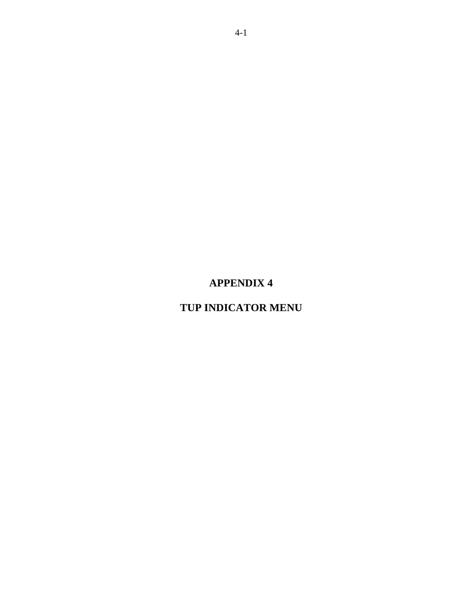## **APPENDIX 4**

## **TUP INDICATOR MENU**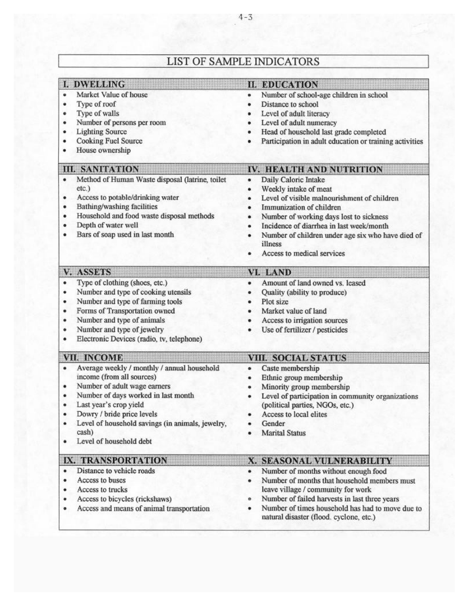| I. DWELLING                                                                                                                                                                                                                                                                                                         | <b>II. EDUCATION</b>                                                                                                                                                                                                                                                                                                                   |
|---------------------------------------------------------------------------------------------------------------------------------------------------------------------------------------------------------------------------------------------------------------------------------------------------------------------|----------------------------------------------------------------------------------------------------------------------------------------------------------------------------------------------------------------------------------------------------------------------------------------------------------------------------------------|
| Market Value of house<br>٠<br>Type of roof<br>٠<br>Type of walls<br>۰<br>Number of persons per room<br>٠<br><b>Lighting Source</b><br>٠<br><b>Cooking Fuel Source</b><br>٠<br>House ownership                                                                                                                       | Number of school-age children in school<br>۰<br>Distance to school<br>Level of adult literacy<br>Level of adult numeracy<br>Head of household last grade completed<br>Participation in adult education or training activities                                                                                                          |
| <b>III. SANITATION</b>                                                                                                                                                                                                                                                                                              | IV. HEALTH AND NUTRITION                                                                                                                                                                                                                                                                                                               |
| Method of Human Waste disposal (latrine, toilet<br>٠<br>etc.)<br>Access to potable/drinking water<br>$\bullet$<br>Bathing/washing facilities<br>۰<br>Household and food waste disposal methods<br>٠<br>Depth of water well<br>$\bullet$<br>Bars of soap used in last month<br>٠                                     | Daily Caloric Intake<br>۰<br>Weekly intake of meat<br>٠<br>Level of visible malnourishment of children<br>٠<br>Immunization of children<br>Number of working days lost to sickness<br>٠<br>Incidence of diarrhea in last week/month<br>۰<br>Number of children under age six who have died of<br>illness<br>Access to medical services |
| <b>V. ASSETS</b>                                                                                                                                                                                                                                                                                                    | VI. LAND                                                                                                                                                                                                                                                                                                                               |
| Type of clothing (shoes, etc.)<br>٠<br>Number and type of cooking utensils<br>٠<br>Number and type of farming tools<br>٠<br>Forms of Transportation owned<br>٠<br>Number and type of animals<br>٠<br>Number and type of jewelry<br>۰<br>Electronic Devices (radio, tv, telephone)<br>٠                              | Amount of land owned vs. leased<br>٠<br>Quality (ability to produce)<br>Plot size<br>۰<br>Market value of land<br>Access to irrigation sources<br>Use of fertilizer / pesticides<br>۰                                                                                                                                                  |
| VII. INCOME                                                                                                                                                                                                                                                                                                         | <b>VIII. SOCIAL STATUS</b>                                                                                                                                                                                                                                                                                                             |
| Average weekly / monthly / annual household<br>۰<br>income (from all sources)<br>Number of adult wage earners<br>Number of days worked in last month<br>٠<br>Last year's crop yield<br>۰<br>Dowry / bride price levels<br>٠<br>Level of household savings (in animals, jewelry,<br>cash)<br>Level of household debt | Caste membership<br>٠<br>Ethnic group membership<br>Minority group membership<br>٠<br>Level of participation in community organizations<br>(political parties, NGOs, etc.)<br>Access to local elites<br>Gender<br><b>Marital Status</b>                                                                                                |
| IX. TRANSPORTATION                                                                                                                                                                                                                                                                                                  | X. SEASONAL VULNERABILITY                                                                                                                                                                                                                                                                                                              |
| Distance to vehicle roads<br>٠<br>Access to buses<br>۰<br>Access to trucks<br>Access to bicycles (rickshaws)<br>٠<br>Access and means of animal transportation<br>۰                                                                                                                                                 | Number of months without enough food<br>٠<br>Number of months that household members must<br>۰<br>leave village / community for work<br>Number of failed harvests in last three years<br>۰<br>Number of times household has had to move due to<br>٠<br>natural disaster (flood. cyclone, etc.)                                         |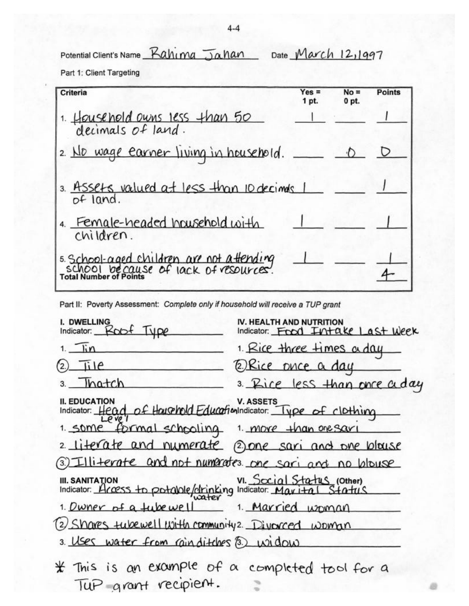Potential Client's Name Rahima Jahan Date March 12,1997

Part 1: Client Targeting

| Criteria                                                                         | $Yes =$<br>1 pt. | $No =$<br>0 pt. | <b>Points</b> |
|----------------------------------------------------------------------------------|------------------|-----------------|---------------|
| 1. Household owns less than 50                                                   |                  |                 |               |
| 2 No wage earner living in household.                                            |                  |                 |               |
| 3. Assets valued at less than 10 decimals 1<br>of land.                          |                  |                 |               |
| 4. Female-headed household with<br>children.                                     |                  |                 |               |
| s School-aged children are not attending<br>school because of lack of resources. |                  |                 |               |

Part II: Poverty Assessment: Complete only if household will receive a TUP grant

| I. DWELLING<br>Indicator: Robf Type                                                          | IV. HEALTH AND NUTRITION<br>Indicator: Food Intake Last Week |
|----------------------------------------------------------------------------------------------|--------------------------------------------------------------|
| $1.$ $\overline{1}$                                                                          | 1. Rice three times a day                                    |
| Tile<br>$^{\prime}$ 2.)                                                                      | @Rice phce a day                                             |
| 3. Thatch                                                                                    | 3. Rice less than once a day                                 |
| II. EDUCATION V. ASSETS<br>Indicator: Head of Hausehold EducationIndicator: Type of clothing |                                                              |
| 1. some formal schooling 1. more than one say                                                |                                                              |
|                                                                                              | 2 literate and numerate (2) one sari and one blouse          |
|                                                                                              | (3) Illiterate and not numerates one sari and no blouse      |
| III. SANITATION<br>Indicator: Access to potable/drinking Indicator: Maxital Status           |                                                              |
| 1. Dwner of a tube well 1. Married woman                                                     |                                                              |
| (2) Shares tubewell with community 2. Divorced woman                                         |                                                              |
| 3. Uses water from rainditches 3) widow                                                      |                                                              |
| Tup grant recipient.                                                                         | * This is an example of a completed tool for a               |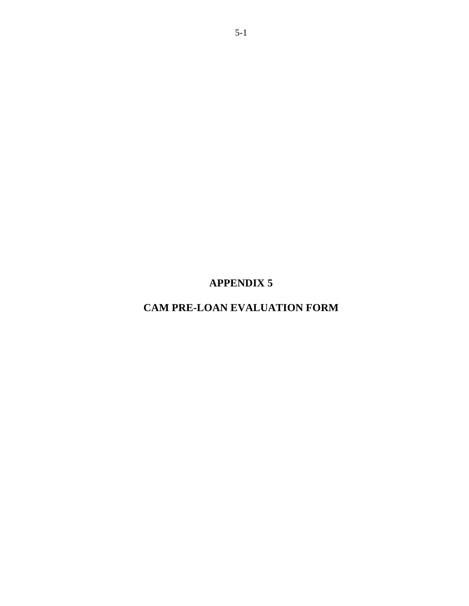## **APPENDIX 5**

## **CAM PRE-LOAN EVALUATION FORM**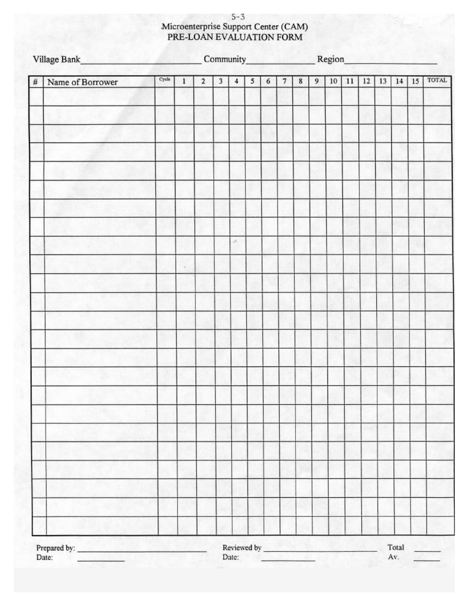# Microenterprise Support Center (CAM)<br>PRE-LOAN EVALUATION FORM

|      |                  | Cycle |  |             |                         |                |   |                  |                |         | <b>TOTAL</b> |        |    |    |    |       |    |  |
|------|------------------|-------|--|-------------|-------------------------|----------------|---|------------------|----------------|---------|--------------|--------|----|----|----|-------|----|--|
| $\#$ | Name of Borrower |       |  | $\mathbf 2$ | $\overline{\mathbf{3}}$ | $\overline{4}$ | 5 | $\boldsymbol{6}$ | $\overline{7}$ | $\bf 8$ | 9            | $10\,$ | 11 | 12 | 13 | 14    | 15 |  |
|      |                  |       |  |             |                         |                |   |                  |                |         |              |        |    |    |    |       |    |  |
|      |                  |       |  |             |                         |                |   |                  |                |         |              |        |    |    |    |       |    |  |
|      |                  |       |  |             |                         |                |   |                  |                |         |              |        |    |    |    |       |    |  |
|      |                  |       |  |             |                         |                |   |                  |                |         |              |        |    |    |    |       |    |  |
|      |                  |       |  |             |                         |                |   |                  |                |         |              |        |    |    |    |       |    |  |
|      |                  |       |  |             |                         |                |   |                  |                |         |              |        |    |    |    |       |    |  |
|      |                  |       |  |             |                         |                |   |                  |                |         |              |        |    |    |    |       |    |  |
|      |                  |       |  |             |                         |                |   |                  |                |         |              |        |    |    |    |       |    |  |
|      |                  |       |  |             |                         |                |   |                  |                |         |              |        |    |    |    |       |    |  |
|      |                  |       |  |             |                         | a.             |   |                  |                |         |              |        |    |    |    |       |    |  |
|      |                  |       |  |             |                         |                |   |                  |                |         |              |        |    |    |    |       |    |  |
|      |                  |       |  |             |                         |                |   |                  |                |         |              |        |    |    |    |       |    |  |
|      |                  |       |  |             |                         |                |   |                  |                |         |              |        |    |    |    |       |    |  |
|      |                  |       |  |             |                         |                |   |                  |                |         |              |        |    |    |    |       |    |  |
|      |                  |       |  |             |                         |                |   |                  |                |         |              |        |    |    |    |       |    |  |
|      |                  |       |  |             |                         |                |   |                  |                |         |              |        |    |    |    |       |    |  |
|      |                  |       |  |             |                         |                |   |                  |                |         |              |        |    |    |    |       |    |  |
|      |                  |       |  |             |                         |                |   |                  |                |         |              |        |    |    |    |       |    |  |
|      |                  |       |  |             |                         |                |   |                  |                |         |              |        |    |    |    |       |    |  |
|      |                  |       |  |             |                         |                |   |                  |                |         |              |        |    |    |    |       |    |  |
|      |                  |       |  |             |                         |                |   |                  |                |         |              |        |    |    |    |       |    |  |
|      |                  |       |  |             |                         |                |   |                  |                |         |              |        |    |    |    |       |    |  |
|      |                  |       |  |             |                         |                |   |                  |                |         |              |        |    |    |    |       |    |  |
|      |                  |       |  |             |                         |                |   |                  |                |         |              |        |    |    |    |       |    |  |
|      |                  |       |  |             |                         |                |   |                  |                |         |              |        |    |    |    |       |    |  |
|      | <b>ACT AV</b>    |       |  |             |                         | n.             |   |                  |                |         |              |        |    |    |    |       |    |  |
|      |                  |       |  |             |                         |                |   |                  |                |         |              |        |    |    |    |       |    |  |
|      |                  |       |  |             |                         |                |   |                  |                |         |              |        |    |    |    | Total |    |  |